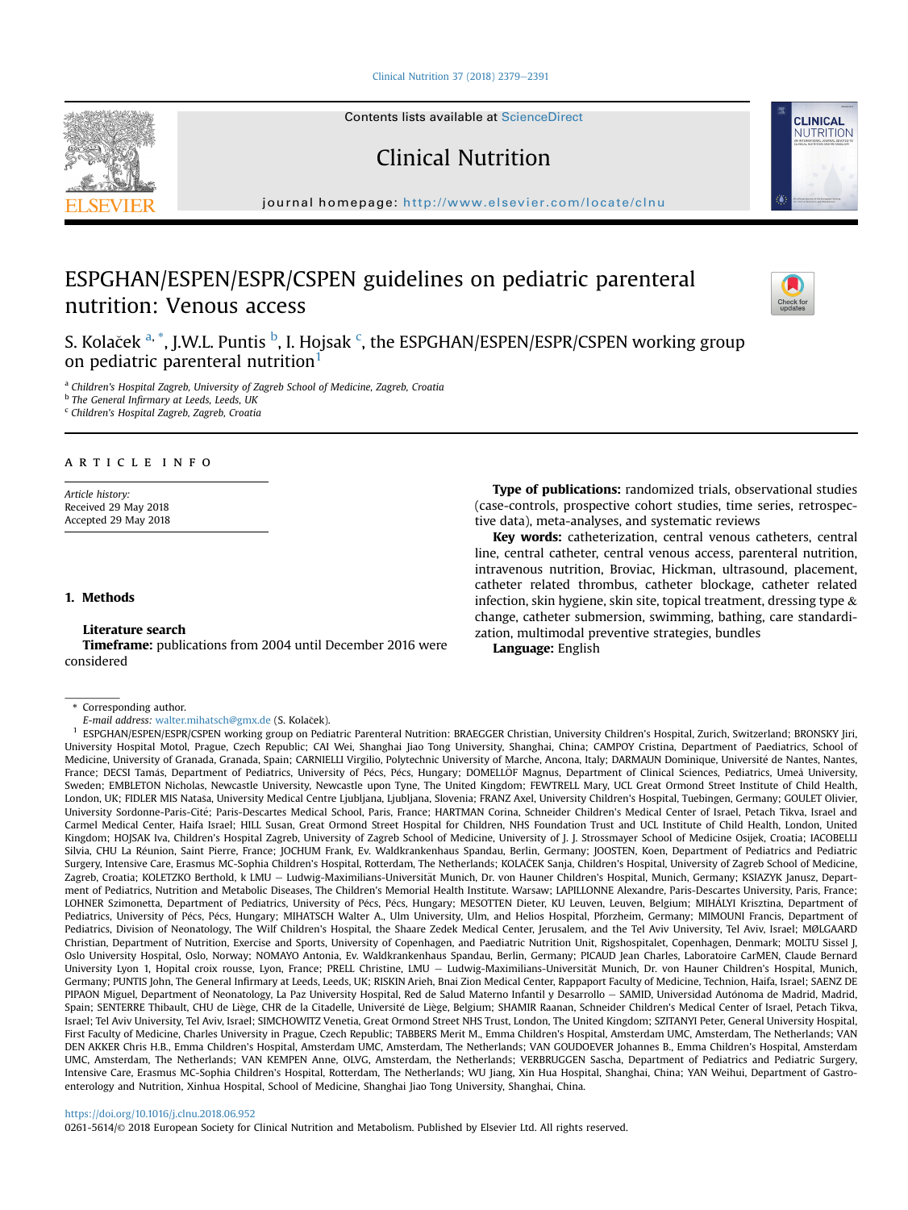## [Clinical Nutrition 37 \(2018\) 2379](https://doi.org/10.1016/j.clnu.2018.06.952)-[2391](https://doi.org/10.1016/j.clnu.2018.06.952)



Contents lists available at ScienceDirect

# Clinical Nutrition

journal homepage: <http://www.elsevier.com/locate/clnu>

# ESPGHAN/ESPEN/ESPR/CSPEN guidelines on pediatric parenteral nutrition: Venous access



**CLINICAL NUTRITION** 

S. Kolaček <sup>a, \*</sup>, J.W.L. Puntis <sup>b</sup>, I. Hojsak <sup>c</sup>, the ESPGHAN/ESPEN/ESPR/CSPEN working group on pediatric parenteral nutrition<sup>1</sup>

a Children's Hospital Zagreb, University of Zagreb School of Medicine, Zagreb, Croatia

**b** The General Infirmary at Leeds, Leeds, UK

<sup>c</sup> Children's Hospital Zagreb, Zagreb, Croatia

# article info

Article history: Received 29 May 2018 Accepted 29 May 2018

#### 1. Methods

## Literature search

Timeframe: publications from 2004 until December 2016 were considered

Type of publications: randomized trials, observational studies (case-controls, prospective cohort studies, time series, retrospective data), meta-analyses, and systematic reviews

Key words: catheterization, central venous catheters, central line, central catheter, central venous access, parenteral nutrition, intravenous nutrition, Broviac, Hickman, ultrasound, placement, catheter related thrombus, catheter blockage, catheter related infection, skin hygiene, skin site, topical treatment, dressing type & change, catheter submersion, swimming, bathing, care standardization, multimodal preventive strategies, bundles

Language: English

\* Corresponding author.

E-mail address: [walter.mihatsch@gmx.de](mailto:walter.mihatsch@gmx.de) (S. Kolaček).

<sup>1</sup> ESPGHAN/ESPEN/ESPR/CSPEN working group on Pediatric Parenteral Nutrition: BRAEGGER Christian, University Children's Hospital, Zurich, Switzerland; BRONSKY Jiri, University Hospital Motol, Prague, Czech Republic; CAI Wei, Shanghai Jiao Tong University, Shanghai, China; CAMPOY Cristina, Department of Paediatrics, School of Medicine, University of Granada, Granada, Spain; CARNIELLI Virgilio, Polytechnic University of Marche, Ancona, Italy; DARMAUN Dominique, Universite de Nantes, Nantes, France; DECSI Tamás, Department of Pediatrics, University of Pécs, Pécs, Hungary; DOMELLÖF Magnus, Department of Clinical Sciences, Pediatrics, Umeå University, Sweden; EMBLETON Nicholas, Newcastle University, Newcastle upon Tyne, The United Kingdom; FEWTRELL Mary, UCL Great Ormond Street Institute of Child Health, London, UK; FIDLER MIS Natasa, University Medical Centre Ljubljana, Ljubljana, Slovenia; FRANZ Axel, University Children's Hospital, Tuebingen, Germany; GOULET Olivier, University Sordonne-Paris-Cite; Paris-Descartes Medical School, Paris, France; HARTMAN Corina, Schneider Children's Medical Center of Israel, Petach Tikva, Israel and Carmel Medical Center, Haifa Israel; HILL Susan, Great Ormond Street Hospital for Children, NHS Foundation Trust and UCL Institute of Child Health, London, United Kingdom; HOJSAK Iva, Children's Hospital Zagreb, University of Zagreb School of Medicine, University of J. J. Strossmayer School of Medicine Osijek, Croatia; IACOBELLI Silvia, CHU La Reunion, Saint Pierre, France; JOCHUM Frank, Ev. Waldkrankenhaus Spandau, Berlin, Germany; JOOSTEN, Koen, Department of Pediatrics and Pediatric Surgery, Intensive Care, Erasmus MC-Sophia Children's Hospital, Rotterdam, The Netherlands; KOLA CEK Sanja, Children's Hospital, University of Zagreb School of Medicine, Zagreb, Croatia; KOLETZKO Berthold, k LMU - Ludwig-Maximilians-Universität Munich, Dr. von Hauner Children's Hospital, Munich, Germany; KSIAZYK Janusz, Department of Pediatrics, Nutrition and Metabolic Diseases, The Children's Memorial Health Institute. Warsaw; LAPILLONNE Alexandre, Paris-Descartes University, Paris, France; LOHNER Szimonetta, Department of Pediatrics, University of Pécs, Pécs, Hungary; MESOTTEN Dieter, KU Leuven, Leuven, Belgium; MIHÁLYI Krisztina, Department of Pediatrics, University of Pécs, Pécs, Hungary; MIHATSCH Walter A., Ulm University, Ulm, and Helios Hospital, Pforzheim, Germany; MIMOUNI Francis, Department of Pediatrics, Division of Neonatology, The Wilf Children's Hospital, the Shaare Zedek Medical Center, Jerusalem, and the Tel Aviv University, Tel Aviv, Israel; MØLGAARD Christian, Department of Nutrition, Exercise and Sports, University of Copenhagen, and Paediatric Nutrition Unit, Rigshospitalet, Copenhagen, Denmark; MOLTU Sissel J, Oslo University Hospital, Oslo, Norway; NOMAYO Antonia, Ev. Waldkrankenhaus Spandau, Berlin, Germany; PICAUD Jean Charles, Laboratoire CarMEN, Claude Bernard University Lyon 1, Hopital croix rousse, Lyon, France; PRELL Christine, LMU – Ludwig-Maximilians-Universität Munich, Dr. von Hauner Children's Hospital, Munich, Germany; PUNTIS John, The General Infirmary at Leeds, Leeds, UK; RISKIN Arieh, Bnai Zion Medical Center, Rappaport Faculty of Medicine, Technion, Haifa, Israel; SAENZ DE PIPAON Miguel, Department of Neonatology, La Paz University Hospital, Red de Salud Materno Infantil y Desarrollo - SAMID, Universidad Autónoma de Madrid, Madrid, Spain; SENTERRE Thibault, CHU de Liège, CHR de la Citadelle, Université de Liège, Belgium; SHAMIR Raanan, Schneider Children's Medical Center of Israel, Petach Tikva, Israel; Tel Aviv University, Tel Aviv, Israel; SIMCHOWITZ Venetia, Great Ormond Street NHS Trust, London, The United Kingdom; SZITANYI Peter, General University Hospital, First Faculty of Medicine, Charles University in Prague, Czech Republic; TABBERS Merit M., Emma Children's Hospital, Amsterdam UMC, Amsterdam, The Netherlands; VAN DEN AKKER Chris H.B., Emma Children's Hospital, Amsterdam UMC, Amsterdam, The Netherlands; VAN GOUDOEVER Johannes B., Emma Children's Hospital, Amsterdam UMC, Amsterdam, The Netherlands; VAN KEMPEN Anne, OLVG, Amsterdam, the Netherlands; VERBRUGGEN Sascha, Department of Pediatrics and Pediatric Surgery, Intensive Care, Erasmus MC-Sophia Children's Hospital, Rotterdam, The Netherlands; WU Jiang, Xin Hua Hospital, Shanghai, China; YAN Weihui, Department of Gastroenterology and Nutrition, Xinhua Hospital, School of Medicine, Shanghai Jiao Tong University, Shanghai, China.

### <https://doi.org/10.1016/j.clnu.2018.06.952>

0261-5614/© 2018 European Society for Clinical Nutrition and Metabolism. Published by Elsevier Ltd. All rights reserved.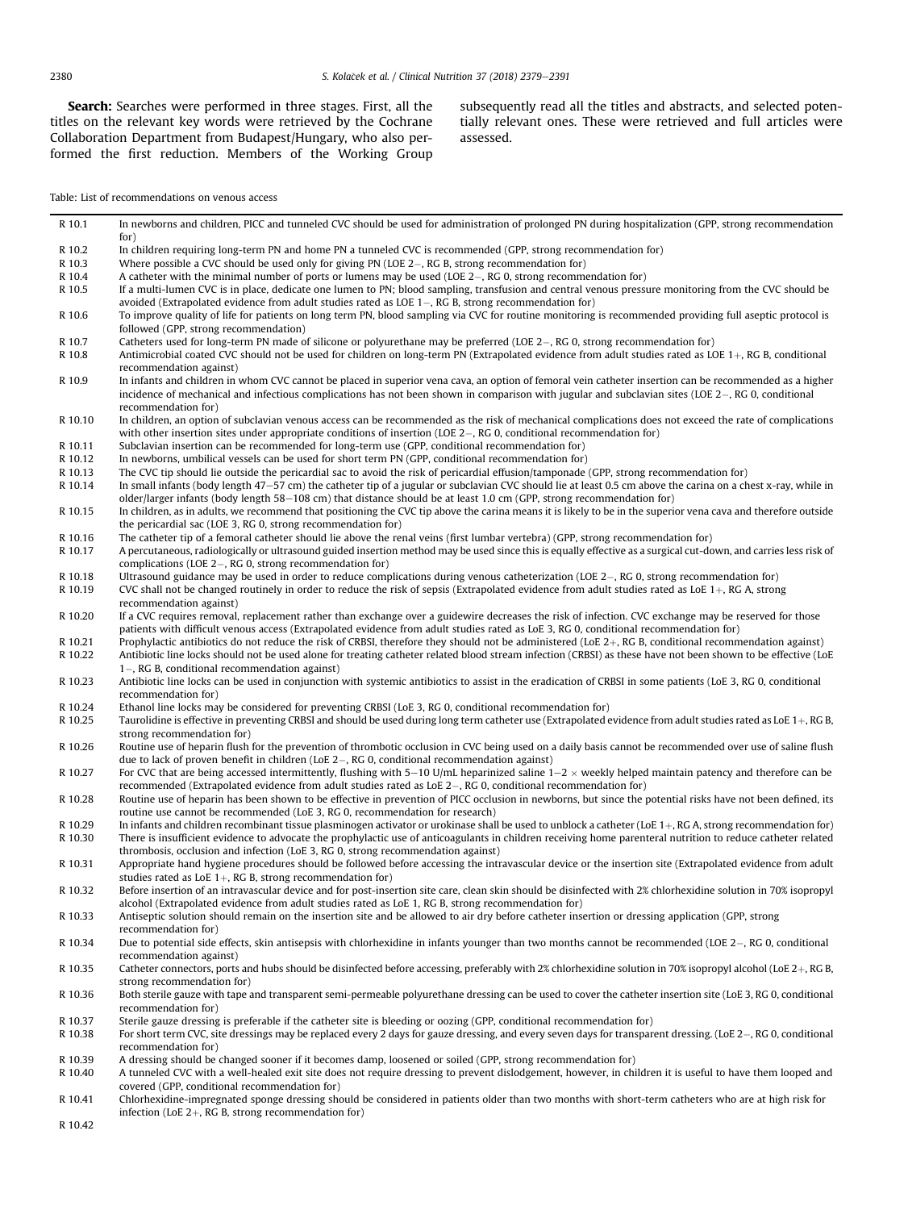Search: Searches were performed in three stages. First, all the titles on the relevant key words were retrieved by the Cochrane Collaboration Department from Budapest/Hungary, who also performed the first reduction. Members of the Working Group

infection (LoE 2+, RG B, strong recommendation for)

R 10.42

subsequently read all the titles and abstracts, and selected potentially relevant ones. These were retrieved and full articles were assessed.

# Table: List of recommendations on venous access

| R 10.1  | In newborns and children, PICC and tunneled CVC should be used for administration of prolonged PN during hospitalization (GPP, strong recommendation<br>for)                                                                                                                      |
|---------|-----------------------------------------------------------------------------------------------------------------------------------------------------------------------------------------------------------------------------------------------------------------------------------|
| R 10.2  | In children requiring long-term PN and home PN a tunneled CVC is recommended (GPP, strong recommendation for)                                                                                                                                                                     |
| R 10.3  | Where possible a CVC should be used only for giving PN (LOE $2-$ , RG B, strong recommendation for)                                                                                                                                                                               |
| R 10.4  | A catheter with the minimal number of ports or lumens may be used (LOE $2-$ , RG 0, strong recommendation for)                                                                                                                                                                    |
| R 10.5  | If a multi-lumen CVC is in place, dedicate one lumen to PN; blood sampling, transfusion and central venous pressure monitoring from the CVC should be<br>avoided (Extrapolated evidence from adult studies rated as LOE $1-$ , RG B, strong recommendation for)                   |
| R 10.6  | To improve quality of life for patients on long term PN, blood sampling via CVC for routine monitoring is recommended providing full aseptic protocol is<br>followed (GPP, strong recommendation)                                                                                 |
| R 10.7  | Catheters used for long-term PN made of silicone or polyurethane may be preferred (LOE 2–, RG 0, strong recommendation for)                                                                                                                                                       |
| R 10.8  | Antimicrobial coated CVC should not be used for children on long-term PN (Extrapolated evidence from adult studies rated as LOE 1+, RG B, conditional                                                                                                                             |
| R 10.9  | recommendation against)<br>In infants and children in whom CVC cannot be placed in superior vena cava, an option of femoral vein catheter insertion can be recommended as a higher                                                                                                |
|         | incidence of mechanical and infectious complications has not been shown in comparison with jugular and subclavian sites (LOE 2–, RG 0, conditional<br>recommendation for)                                                                                                         |
| R 10.10 | In children, an option of subclavian venous access can be recommended as the risk of mechanical complications does not exceed the rate of complications<br>with other insertion sites under appropriate conditions of insertion (LOE $2-$ , RG 0, conditional recommendation for) |
| R 10.11 | Subclavian insertion can be recommended for long-term use (GPP, conditional recommendation for)                                                                                                                                                                                   |
| R 10.12 | In newborns, umbilical vessels can be used for short term PN (GPP, conditional recommendation for)                                                                                                                                                                                |
| R 10.13 | The CVC tip should lie outside the pericardial sac to avoid the risk of pericardial effusion/tamponade (GPP, strong recommendation for)                                                                                                                                           |
| R 10.14 | In small infants (body length 47-57 cm) the catheter tip of a jugular or subclavian CVC should lie at least 0.5 cm above the carina on a chest x-ray, while in                                                                                                                    |
|         | older/larger infants (body length 58–108 cm) that distance should be at least 1.0 cm (GPP, strong recommendation for)                                                                                                                                                             |
| R 10.15 | In children, as in adults, we recommend that positioning the CVC tip above the carina means it is likely to be in the superior vena cava and therefore outside                                                                                                                    |
|         | the pericardial sac (LOE 3, RG 0, strong recommendation for)                                                                                                                                                                                                                      |
| R 10.16 | The catheter tip of a femoral catheter should lie above the renal veins (first lumbar vertebra) (GPP, strong recommendation for)                                                                                                                                                  |
| R 10.17 | A percutaneous, radiologically or ultrasound guided insertion method may be used since this is equally effective as a surgical cut-down, and carries less risk of                                                                                                                 |
|         | complications (LOE $2-$ , RG 0, strong recommendation for)                                                                                                                                                                                                                        |
| R 10.18 | Ultrasound guidance may be used in order to reduce complications during venous catheterization (LOE $2-$ , RG 0, strong recommendation for)                                                                                                                                       |
| R 10.19 | CVC shall not be changed routinely in order to reduce the risk of sepsis (Extrapolated evidence from adult studies rated as LoE $1+$ , RG A, strong                                                                                                                               |
|         | recommendation against)                                                                                                                                                                                                                                                           |
| R 10.20 | If a CVC requires removal, replacement rather than exchange over a guidewire decreases the risk of infection. CVC exchange may be reserved for those                                                                                                                              |
|         | patients with difficult venous access (Extrapolated evidence from adult studies rated as LoE 3, RG 0, conditional recommendation for)                                                                                                                                             |
| R 10.21 | Prophylactic antibiotics do not reduce the risk of CRBSI, therefore they should not be administered (LoE $2+$ , RG B, conditional recommendation against)                                                                                                                         |
| R 10.22 | Antibiotic line locks should not be used alone for treating catheter related blood stream infection (CRBSI) as these have not been shown to be effective (LoE                                                                                                                     |
|         | 1–, RG B, conditional recommendation against)                                                                                                                                                                                                                                     |
| R 10.23 | Antibiotic line locks can be used in conjunction with systemic antibiotics to assist in the eradication of CRBSI in some patients (LoE 3, RG 0, conditional                                                                                                                       |
|         | recommendation for)                                                                                                                                                                                                                                                               |
| R 10.24 | Ethanol line locks may be considered for preventing CRBSI (LoE 3, RG 0, conditional recommendation for)                                                                                                                                                                           |
| R 10.25 | Taurolidine is effective in preventing CRBSI and should be used during long term catheter use (Extrapolated evidence from adult studies rated as LoE $1+$ , RG B,                                                                                                                 |
|         | strong recommendation for)                                                                                                                                                                                                                                                        |
| R 10.26 | Routine use of heparin flush for the prevention of thrombotic occlusion in CVC being used on a daily basis cannot be recommended over use of saline flush<br>due to lack of proven benefit in children (LoE $2-$ , RG 0, conditional recommendation against)                      |
| R 10.27 | For CVC that are being accessed intermittently, flushing with 5–10 U/mL heparinized saline $1-2 \times$ weekly helped maintain patency and therefore can be<br>recommended (Extrapolated evidence from adult studies rated as LoE $2-$ , RG 0, conditional recommendation for)    |
| R 10.28 | Routine use of heparin has been shown to be effective in prevention of PICC occlusion in newborns, but since the potential risks have not been defined, its<br>routine use cannot be recommended (LoE 3, RG 0, recommendation for research)                                       |
| R 10.29 | In infants and children recombinant tissue plasminogen activator or urokinase shall be used to unblock a catheter (LoE $1+$ , RG A, strong recommendation for)                                                                                                                    |
| R 10.30 | There is insufficient evidence to advocate the prophylactic use of anticoagulants in children receiving home parenteral nutrition to reduce catheter related<br>thrombosis, occlusion and infection (LoE 3, RG 0, strong recommendation against)                                  |
| R 10.31 | Appropriate hand hygiene procedures should be followed before accessing the intravascular device or the insertion site (Extrapolated evidence from adult<br>studies rated as LoE $1+$ , RG B, strong recommendation for)                                                          |
| R 10.32 | Before insertion of an intravascular device and for post-insertion site care, clean skin should be disinfected with 2% chlorhexidine solution in 70% isopropyl<br>alcohol (Extrapolated evidence from adult studies rated as LoE 1, RG B, strong recommendation for)              |
| R 10.33 | Antiseptic solution should remain on the insertion site and be allowed to air dry before catheter insertion or dressing application (GPP, strong<br>recommendation for)                                                                                                           |
| R 10.34 | Due to potential side effects, skin antisepsis with chlorhexidine in infants younger than two months cannot be recommended (LOE 2–, RG 0, conditional<br>recommendation against)                                                                                                  |
| R 10.35 | Catheter connectors, ports and hubs should be disinfected before accessing, preferably with 2% chlorhexidine solution in 70% isopropyl alcohol (LoE 2+, RG B,<br>strong recommendation for)                                                                                       |
| R 10.36 | Both sterile gauze with tape and transparent semi-permeable polyurethane dressing can be used to cover the catheter insertion site (LoE 3, RG 0, conditional<br>recommendation for)                                                                                               |
| R 10.37 | Sterile gauze dressing is preferable if the catheter site is bleeding or oozing (GPP, conditional recommendation for)                                                                                                                                                             |
| R 10.38 | For short term CVC, site dressings may be replaced every 2 days for gauze dressing, and every seven days for transparent dressing. (LoE 2–, RG 0, conditional<br>recommendation for)                                                                                              |
| R 10.39 | A dressing should be changed sooner if it becomes damp, loosened or soiled (GPP, strong recommendation for)                                                                                                                                                                       |
| R 10.40 | A tunneled CVC with a well-healed exit site does not require dressing to prevent dislodgement, however, in children it is useful to have them looped and<br>covered (GPP, conditional recommendation for)                                                                         |
| R 10.41 | Chlorhexidine-impregnated sponge dressing should be considered in patients older than two months with short-term catheters who are at high risk for                                                                                                                               |

 $\overline{a}$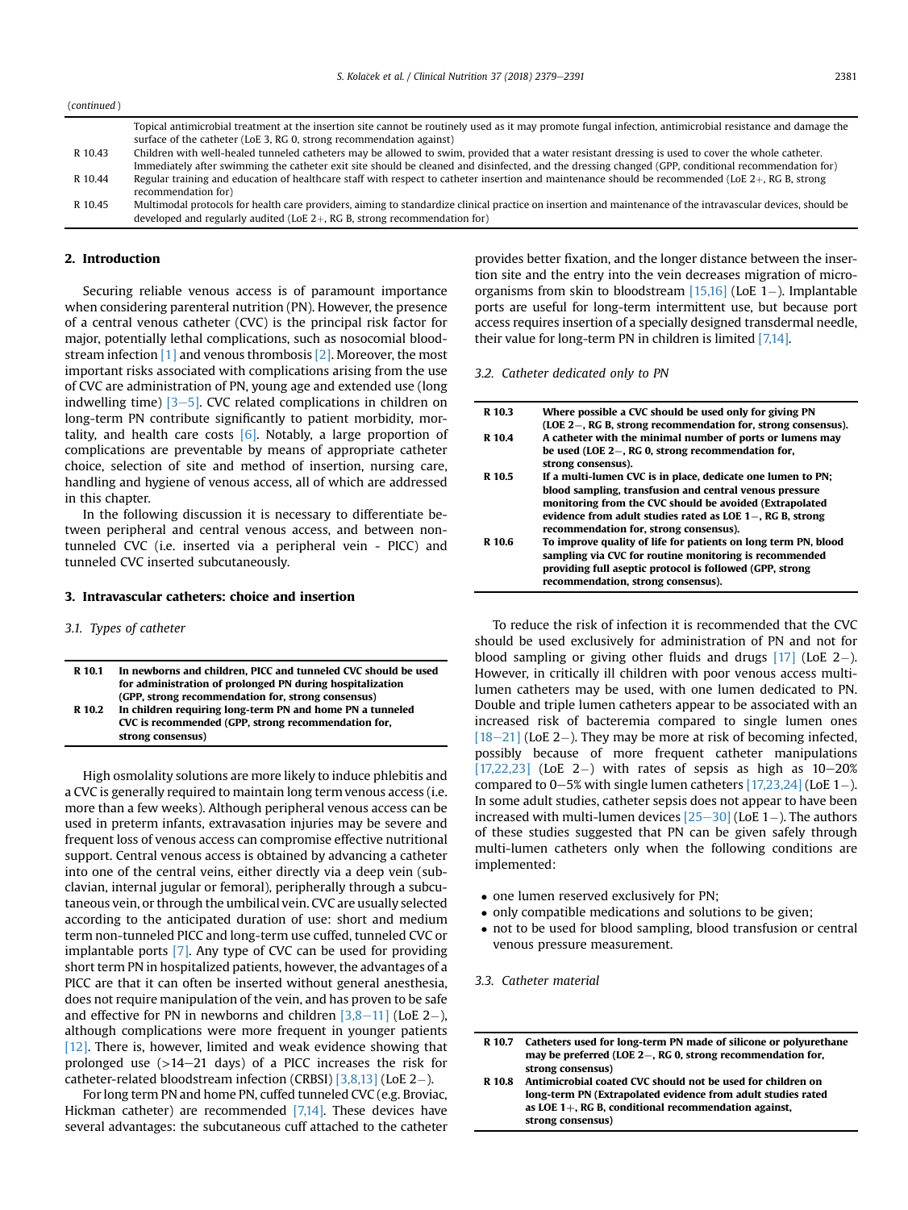Topical antimicrobial treatment at the insertion site cannot be routinely used as it may promote fungal infection, antimicrobial resistance and damage the surface of the catheter (LoE 3, RG 0, strong recommendation against)

| R 10.43 | Children with well-healed tunneled catheters may be allowed to swim, provided that a water resistant dressing is used to cover the whole catheter.           |
|---------|--------------------------------------------------------------------------------------------------------------------------------------------------------------|
|         | Immediately after swimming the catheter exit site should be cleaned and disinfected, and the dressing changed (GPP, conditional recommendation for)          |
| R 10.44 | Regular training and education of healthcare staff with respect to catheter insertion and maintenance should be recommended (LoE $2+$ , RG B, strong         |
|         | recommendation for)                                                                                                                                          |
| R 10.45 | Multimodal protocols for health care providers, aiming to standardize clinical practice on insertion and maintenance of the intravascular devices, should be |
|         | developed and regularly audited (LoE $2+$ , RG B, strong recommendation for)                                                                                 |

## 2. Introduction

Securing reliable venous access is of paramount importance when considering parenteral nutrition (PN). However, the presence of a central venous catheter (CVC) is the principal risk factor for major, potentially lethal complications, such as nosocomial bloodstream infection [\[1\]](#page-8-0) and venous thrombosis [\[2\]](#page-8-0). Moreover, the most important risks associated with complications arising from the use of CVC are administration of PN, young age and extended use (long indwelling time)  $[3-5]$  $[3-5]$ . CVC related complications in children on long-term PN contribute significantly to patient morbidity, mortality, and health care costs  $[6]$ . Notably, a large proportion of complications are preventable by means of appropriate catheter choice, selection of site and method of insertion, nursing care, handling and hygiene of venous access, all of which are addressed in this chapter.

In the following discussion it is necessary to differentiate between peripheral and central venous access, and between nontunneled CVC (i.e. inserted via a peripheral vein - PICC) and tunneled CVC inserted subcutaneously.

### 3. Intravascular catheters: choice and insertion

### 3.1. Types of catheter

| R 10.1 | In newborns and children. PICC and tunneled CVC should be used<br>for administration of prolonged PN during hospitalization |
|--------|-----------------------------------------------------------------------------------------------------------------------------|
|        | (GPP, strong recommendation for, strong consensus)                                                                          |
| R 10.2 | In children requiring long-term PN and home PN a tunneled                                                                   |
|        | CVC is recommended (GPP, strong recommendation for,                                                                         |
|        | strong consensus)                                                                                                           |

High osmolality solutions are more likely to induce phlebitis and a CVC is generally required to maintain long term venous access (i.e. more than a few weeks). Although peripheral venous access can be used in preterm infants, extravasation injuries may be severe and frequent loss of venous access can compromise effective nutritional support. Central venous access is obtained by advancing a catheter into one of the central veins, either directly via a deep vein (subclavian, internal jugular or femoral), peripherally through a subcutaneous vein, or through the umbilical vein. CVC are usually selected according to the anticipated duration of use: short and medium term non-tunneled PICC and long-term use cuffed, tunneled CVC or implantable ports [\[7\].](#page-8-0) Any type of CVC can be used for providing short term PN in hospitalized patients, however, the advantages of a PICC are that it can often be inserted without general anesthesia, does not require manipulation of the vein, and has proven to be safe and effective for PN in newborns and children  $[3,8-11]$  $[3,8-11]$  $[3,8-11]$  (LoE 2-), although complications were more frequent in younger patients [\[12\].](#page-8-0) There is, however, limited and weak evidence showing that prolonged use  $(>14-21$  days) of a PICC increases the risk for catheter-related bloodstream infection (CRBSI) [\[3,8,13\]](#page-8-0) (LoE 2-).

For long term PN and home PN, cuffed tunneled CVC (e.g. Broviac, Hickman catheter) are recommended [\[7,14\]](#page-8-0). These devices have several advantages: the subcutaneous cuff attached to the catheter provides better fixation, and the longer distance between the insertion site and the entry into the vein decreases migration of microorganisms from skin to bloodstream  $[15,16]$  (LoE 1-). Implantable ports are useful for long-term intermittent use, but because port access requires insertion of a specially designed transdermal needle, their value for long-term PN in children is limited [\[7,14\]](#page-8-0).

3.2. Catheter dedicated only to PN

| R 10.3 | Where possible a CVC should be used only for giving PN<br>(LOE 2–, RG B, strong recommendation for, strong consensus). |
|--------|------------------------------------------------------------------------------------------------------------------------|
| R 10.4 | A catheter with the minimal number of ports or lumens may<br>be used (LOE $2-$ , RG 0, strong recommendation for,      |
|        | strong consensus).                                                                                                     |
| R 10.5 | If a multi-lumen CVC is in place, dedicate one lumen to PN;                                                            |
|        | blood sampling, transfusion and central venous pressure                                                                |
|        | monitoring from the CVC should be avoided (Extrapolated                                                                |
|        | evidence from adult studies rated as LOE 1–, RG B, strong                                                              |
|        | recommendation for, strong consensus).                                                                                 |
| R 10.6 | To improve quality of life for patients on long term PN, blood                                                         |
|        | sampling via CVC for routine monitoring is recommended                                                                 |
|        | providing full aseptic protocol is followed (GPP, strong                                                               |
|        | recommendation, strong consensus).                                                                                     |
|        |                                                                                                                        |

To reduce the risk of infection it is recommended that the CVC should be used exclusively for administration of PN and not for blood sampling or giving other fluids and drugs  $[17]$  (LoE 2-). However, in critically ill children with poor venous access multilumen catheters may be used, with one lumen dedicated to PN. Double and triple lumen catheters appear to be associated with an increased risk of bacteremia compared to single lumen ones  $[18-21]$  $[18-21]$  $[18-21]$  (LoE 2-). They may be more at risk of becoming infected, possibly because of more frequent catheter manipulations  $[17,22,23]$  (LoE 2-) with rates of sepsis as high as  $10-20%$ compared to 0–5% with single lumen catheters  $[17,23,24]$  (LoE 1–). In some adult studies, catheter sepsis does not appear to have been increased with multi-lumen devices  $[25-30]$  $[25-30]$  $[25-30]$  (LoE 1-). The authors of these studies suggested that PN can be given safely through multi-lumen catheters only when the following conditions are implemented:

- one lumen reserved exclusively for PN;
- only compatible medications and solutions to be given;
- not to be used for blood sampling, blood transfusion or central venous pressure measurement.

3.3. Catheter material

R 10.7 Catheters used for long-term PN made of silicone or polyurethane may be preferred (LOE  $2-$ , RG 0, strong recommendation for, strong consensus)

R 10.8 Antimicrobial coated CVC should not be used for children on long-term PN (Extrapolated evidence from adult studies rated as LOE  $1+$ , RG B, conditional recommendation against, strong consensus)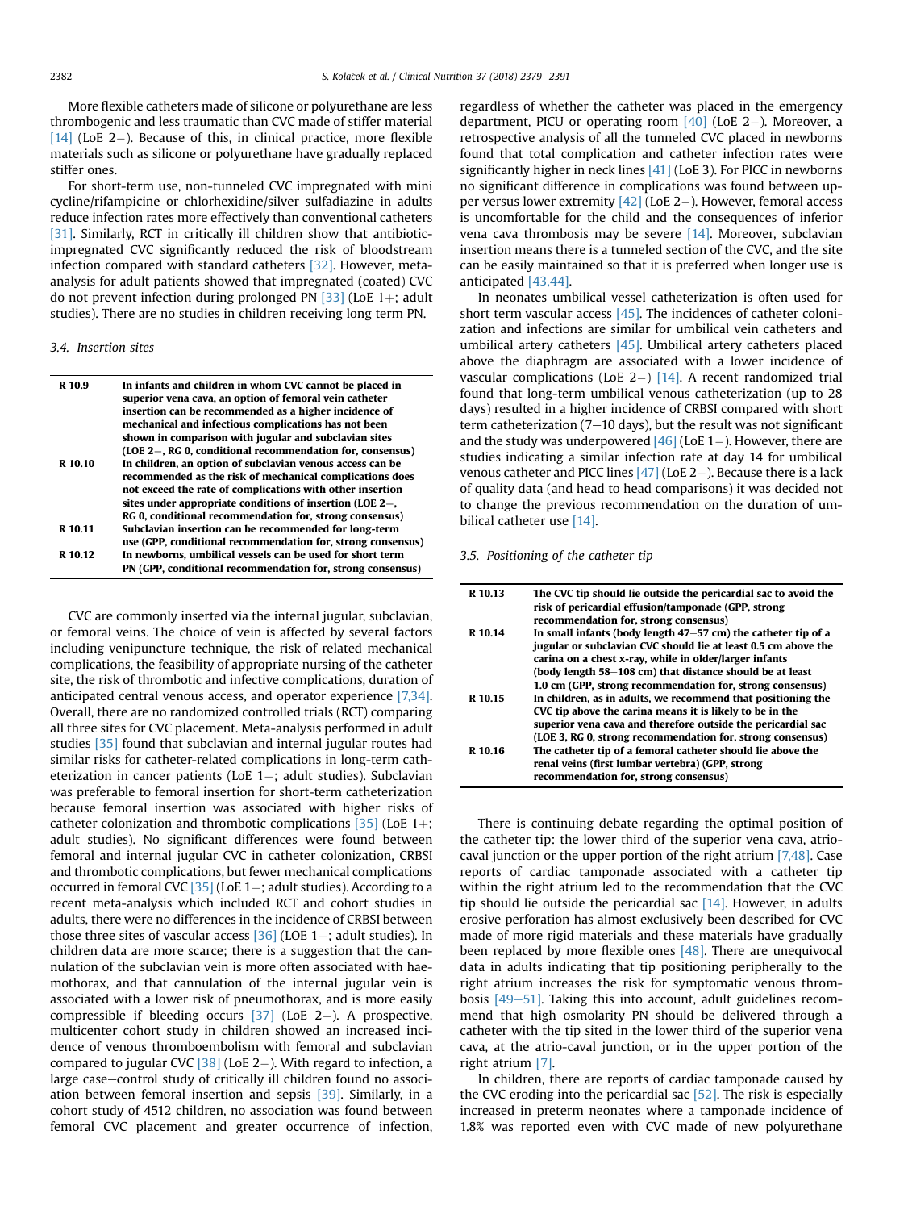More flexible catheters made of silicone or polyurethane are less thrombogenic and less traumatic than CVC made of stiffer material [ $14$ ] (LoE 2-). Because of this, in clinical practice, more flexible materials such as silicone or polyurethane have gradually replaced stiffer ones.

For short-term use, non-tunneled CVC impregnated with mini cycline/rifampicine or chlorhexidine/silver sulfadiazine in adults reduce infection rates more effectively than conventional catheters [\[31\].](#page-9-0) Similarly, RCT in critically ill children show that antibioticimpregnated CVC significantly reduced the risk of bloodstream infection compared with standard catheters [\[32\]](#page-9-0). However, metaanalysis for adult patients showed that impregnated (coated) CVC do not prevent infection during prolonged PN  $[33]$  (LoE 1+; adult studies). There are no studies in children receiving long term PN.

## 3.4. Insertion sites

| R 10.9  | In infants and children in whom CVC cannot be placed in<br>superior vena cava, an option of femoral vein catheter<br>insertion can be recommended as a higher incidence of<br>mechanical and infectious complications has not been<br>shown in comparison with jugular and subclavian sites<br>(LOE 2-, RG 0, conditional recommendation for, consensus) |
|---------|----------------------------------------------------------------------------------------------------------------------------------------------------------------------------------------------------------------------------------------------------------------------------------------------------------------------------------------------------------|
| R 10.10 | In children, an option of subclavian venous access can be<br>recommended as the risk of mechanical complications does<br>not exceed the rate of complications with other insertion<br>sites under appropriate conditions of insertion (LOE $2-$ ,<br>RG 0, conditional recommendation for, strong consensus)                                             |
| R 10.11 | Subclavian insertion can be recommended for long-term<br>use (GPP, conditional recommendation for, strong consensus)                                                                                                                                                                                                                                     |
| R 10.12 | In newborns, umbilical vessels can be used for short term<br>PN (GPP, conditional recommendation for, strong consensus)                                                                                                                                                                                                                                  |

CVC are commonly inserted via the internal jugular, subclavian, or femoral veins. The choice of vein is affected by several factors including venipuncture technique, the risk of related mechanical complications, the feasibility of appropriate nursing of the catheter site, the risk of thrombotic and infective complications, duration of anticipated central venous access, and operator experience [\[7,34\].](#page-8-0) Overall, there are no randomized controlled trials (RCT) comparing all three sites for CVC placement. Meta-analysis performed in adult studies [\[35\]](#page-9-0) found that subclavian and internal jugular routes had similar risks for catheter-related complications in long-term catheterization in cancer patients (LoE  $1+$ ; adult studies). Subclavian was preferable to femoral insertion for short-term catheterization because femoral insertion was associated with higher risks of catheter colonization and thrombotic complications  $[35]$  (LoE 1+; adult studies). No significant differences were found between femoral and internal jugular CVC in catheter colonization, CRBSI and thrombotic complications, but fewer mechanical complications occurred in femoral CVC [\[35\]](#page-9-0) (LoE 1+; adult studies). According to a recent meta-analysis which included RCT and cohort studies in adults, there were no differences in the incidence of CRBSI between those three sites of vascular access  $[36]$  (LOE 1+; adult studies). In children data are more scarce; there is a suggestion that the cannulation of the subclavian vein is more often associated with haemothorax, and that cannulation of the internal jugular vein is associated with a lower risk of pneumothorax, and is more easily compressible if bleeding occurs  $[37]$  (LoE 2-). A prospective, multicenter cohort study in children showed an increased incidence of venous thromboembolism with femoral and subclavian compared to jugular CVC [\[38\]](#page-9-0) (LoE 2-). With regard to infection, a large case-control study of critically ill children found no association between femoral insertion and sepsis [\[39\]](#page-9-0). Similarly, in a cohort study of 4512 children, no association was found between femoral CVC placement and greater occurrence of infection, regardless of whether the catheter was placed in the emergency department, PICU or operating room  $[40]$  (LoE 2-). Moreover, a retrospective analysis of all the tunneled CVC placed in newborns found that total complication and catheter infection rates were significantly higher in neck lines [\[41\]](#page-9-0) (LoE 3). For PICC in newborns no significant difference in complications was found between upper versus lower extremity  $[42]$  (LoE 2-). However, femoral access is uncomfortable for the child and the consequences of inferior vena cava thrombosis may be severe  $[14]$ . Moreover, subclavian insertion means there is a tunneled section of the CVC, and the site can be easily maintained so that it is preferred when longer use is anticipated [\[43,44\]](#page-9-0).

In neonates umbilical vessel catheterization is often used for short term vascular access [\[45\].](#page-9-0) The incidences of catheter colonization and infections are similar for umbilical vein catheters and umbilical artery catheters [\[45\].](#page-9-0) Umbilical artery catheters placed above the diaphragm are associated with a lower incidence of vascular complications (LoE 2-)  $[14]$ . A recent randomized trial found that long-term umbilical venous catheterization (up to 28 days) resulted in a higher incidence of CRBSI compared with short term catheterization  $(7-10 \text{ days})$ , but the result was not significant and the study was underpowered  $[46]$  (LoE 1–). However, there are studies indicating a similar infection rate at day 14 for umbilical venous catheter and PICC lines  $[47]$  (LoE 2-). Because there is a lack of quality data (and head to head comparisons) it was decided not to change the previous recommendation on the duration of umbilical catheter use [\[14\].](#page-9-0)

3.5. Positioning of the catheter tip

| R 10.13 | The CVC tip should lie outside the pericardial sac to avoid the<br>risk of pericardial effusion/tamponade (GPP, strong<br>recommendation for, strong consensus)                                                                                                                                                      |
|---------|----------------------------------------------------------------------------------------------------------------------------------------------------------------------------------------------------------------------------------------------------------------------------------------------------------------------|
| R 10.14 | In small infants (body length $47-57$ cm) the catheter tip of a<br>jugular or subclavian CVC should lie at least 0.5 cm above the<br>carina on a chest x-ray, while in older/larger infants<br>(body length 58–108 cm) that distance should be at least<br>1.0 cm (GPP, strong recommendation for, strong consensus) |
| R 10.15 | In children, as in adults, we recommend that positioning the<br>CVC tip above the carina means it is likely to be in the<br>superior vena cava and therefore outside the pericardial sac<br>(LOE 3, RG 0, strong recommendation for, strong consensus)                                                               |
| R 10.16 | The catheter tip of a femoral catheter should lie above the<br>renal veins (first lumbar vertebra) (GPP, strong<br>recommendation for, strong consensus)                                                                                                                                                             |

There is continuing debate regarding the optimal position of the catheter tip: the lower third of the superior vena cava, atriocaval junction or the upper portion of the right atrium [\[7,48\].](#page-8-0) Case reports of cardiac tamponade associated with a catheter tip within the right atrium led to the recommendation that the CVC tip should lie outside the pericardial sac  $[14]$ . However, in adults erosive perforation has almost exclusively been described for CVC made of more rigid materials and these materials have gradually been replaced by more flexible ones  $[48]$ . There are unequivocal data in adults indicating that tip positioning peripherally to the right atrium increases the risk for symptomatic venous thrombosis  $[49-51]$  $[49-51]$  $[49-51]$ . Taking this into account, adult guidelines recommend that high osmolarity PN should be delivered through a catheter with the tip sited in the lower third of the superior vena cava, at the atrio-caval junction, or in the upper portion of the right atrium [\[7\]](#page-8-0).

In children, there are reports of cardiac tamponade caused by the CVC eroding into the pericardial sac  $[52]$ . The risk is especially increased in preterm neonates where a tamponade incidence of 1.8% was reported even with CVC made of new polyurethane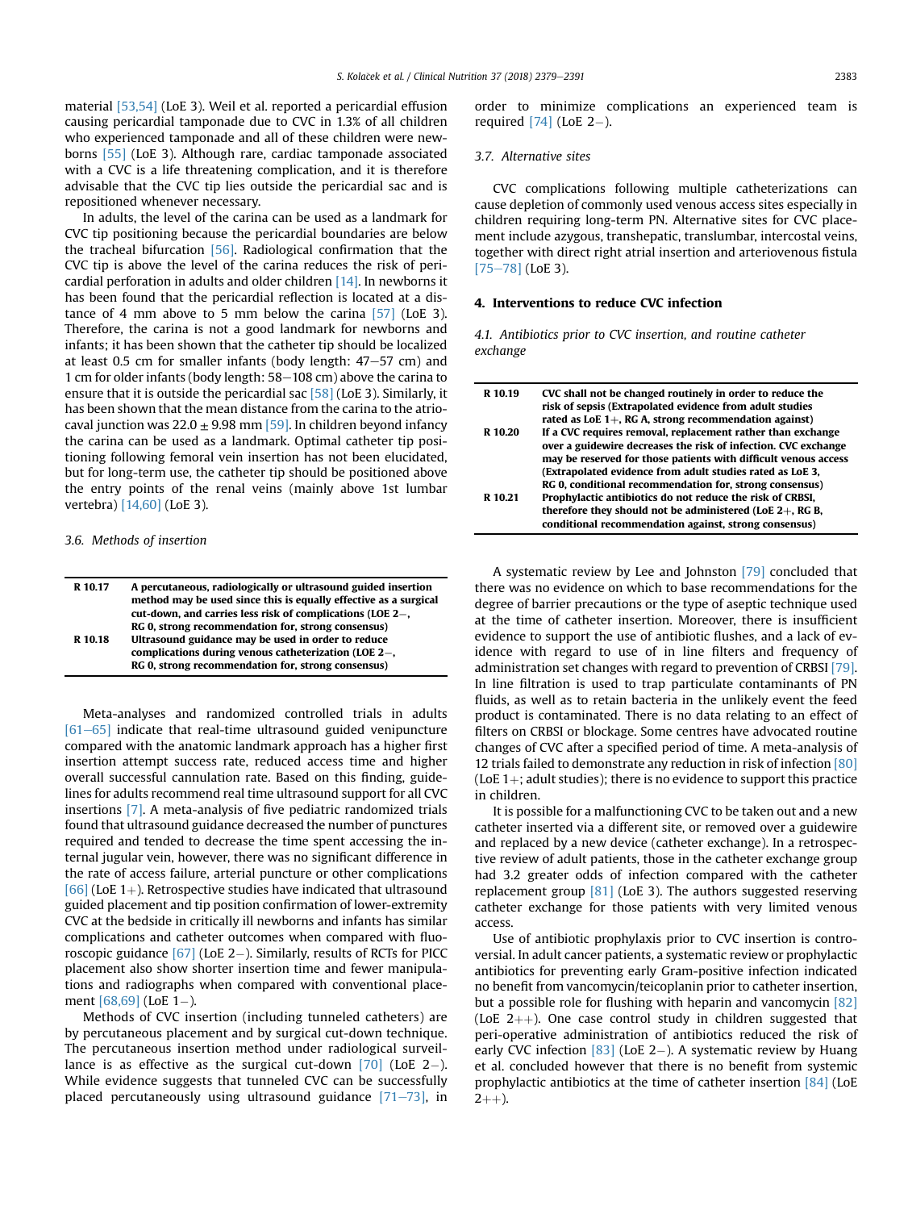material [\[53,54\]](#page-9-0) (LoE 3). Weil et al. reported a pericardial effusion causing pericardial tamponade due to CVC in 1.3% of all children who experienced tamponade and all of these children were newborns [\[55\]](#page-9-0) (LoE 3). Although rare, cardiac tamponade associated with a CVC is a life threatening complication, and it is therefore advisable that the CVC tip lies outside the pericardial sac and is repositioned whenever necessary.

In adults, the level of the carina can be used as a landmark for CVC tip positioning because the pericardial boundaries are below the tracheal bifurcation [\[56\].](#page-9-0) Radiological confirmation that the CVC tip is above the level of the carina reduces the risk of pericardial perforation in adults and older children [\[14\].](#page-9-0) In newborns it has been found that the pericardial reflection is located at a distance of 4 mm above to 5 mm below the carina [\[57\]](#page-9-0) (LoE 3). Therefore, the carina is not a good landmark for newborns and infants; it has been shown that the catheter tip should be localized at least 0.5 cm for smaller infants (body length:  $47-57$  cm) and 1 cm for older infants (body length: 58-108 cm) above the carina to ensure that it is outside the pericardial sac  $[58]$  (LoE 3). Similarly, it has been shown that the mean distance from the carina to the atriocaval junction was  $22.0 \pm 9.98$  mm [\[59\]](#page-9-0). In children beyond infancy the carina can be used as a landmark. Optimal catheter tip positioning following femoral vein insertion has not been elucidated, but for long-term use, the catheter tip should be positioned above the entry points of the renal veins (mainly above 1st lumbar vertebra) [\[14,60\]](#page-9-0) (LoE 3).

## 3.6. Methods of insertion

| R 10.17 | A percutaneous, radiologically or ultrasound guided insertion<br>method may be used since this is equally effective as a surgical |
|---------|-----------------------------------------------------------------------------------------------------------------------------------|
|         | cut-down, and carries less risk of complications (LOE 2–,                                                                         |
|         | RG 0, strong recommendation for, strong consensus)                                                                                |
| R 10.18 | Ultrasound guidance may be used in order to reduce                                                                                |
|         | complications during venous catheterization (LOE 2-,                                                                              |
|         | RG 0, strong recommendation for, strong consensus)                                                                                |
|         |                                                                                                                                   |

Meta-analyses and randomized controlled trials in adults  $[61–65]$  $[61–65]$  $[61–65]$  indicate that real-time ultrasound guided venipuncture compared with the anatomic landmark approach has a higher first insertion attempt success rate, reduced access time and higher overall successful cannulation rate. Based on this finding, guidelines for adults recommend real time ultrasound support for all CVC insertions [\[7\].](#page-8-0) A meta-analysis of five pediatric randomized trials found that ultrasound guidance decreased the number of punctures required and tended to decrease the time spent accessing the internal jugular vein, however, there was no significant difference in the rate of access failure, arterial puncture or other complications [\[66\]](#page-10-0) (LoE 1+). Retrospective studies have indicated that ultrasound guided placement and tip position confirmation of lower-extremity CVC at the bedside in critically ill newborns and infants has similar complications and catheter outcomes when compared with fluoroscopic guidance  $[67]$  (LoE 2-). Similarly, results of RCTs for PICC placement also show shorter insertion time and fewer manipulations and radiographs when compared with conventional placement  $[68,69]$  (LoE 1-).

Methods of CVC insertion (including tunneled catheters) are by percutaneous placement and by surgical cut-down technique. The percutaneous insertion method under radiological surveillance is as effective as the surgical cut-down  $[70]$  (LoE 2-). While evidence suggests that tunneled CVC can be successfully placed percutaneously using ultrasound guidance  $[71–73]$  $[71–73]$  $[71–73]$ , in order to minimize complications an experienced team is required  $[74]$  (LoE 2-).

## 3.7. Alternative sites

CVC complications following multiple catheterizations can cause depletion of commonly used venous access sites especially in children requiring long-term PN. Alternative sites for CVC placement include azygous, transhepatic, translumbar, intercostal veins, together with direct right atrial insertion and arteriovenous fistula  $[75-78]$  $[75-78]$  $[75-78]$  (LoE 3).

# 4. Interventions to reduce CVC infection

4.1. Antibiotics prior to CVC insertion, and routine catheter exchange

| R 10.19 | CVC shall not be changed routinely in order to reduce the       |
|---------|-----------------------------------------------------------------|
|         | risk of sepsis (Extrapolated evidence from adult studies        |
|         | rated as LoE $1+$ , RG A, strong recommendation against)        |
| R 10.20 | If a CVC requires removal, replacement rather than exchange     |
|         | over a guidewire decreases the risk of infection. CVC exchange  |
|         | may be reserved for those patients with difficult venous access |
|         | (Extrapolated evidence from adult studies rated as LoE 3,       |
|         | RG 0, conditional recommendation for, strong consensus)         |
| R 10.21 | Prophylactic antibiotics do not reduce the risk of CRBSI,       |
|         | therefore they should not be administered (LoE $2+$ , RG B,     |
|         | conditional recommendation against, strong consensus)           |

A systematic review by Lee and Johnston [\[79\]](#page-10-0) concluded that there was no evidence on which to base recommendations for the degree of barrier precautions or the type of aseptic technique used at the time of catheter insertion. Moreover, there is insufficient evidence to support the use of antibiotic flushes, and a lack of evidence with regard to use of in line filters and frequency of administration set changes with regard to prevention of CRBSI [\[79\].](#page-10-0) In line filtration is used to trap particulate contaminants of PN fluids, as well as to retain bacteria in the unlikely event the feed product is contaminated. There is no data relating to an effect of filters on CRBSI or blockage. Some centres have advocated routine changes of CVC after a specified period of time. A meta-analysis of 12 trials failed to demonstrate any reduction in risk of infection [\[80\]](#page-10-0) (LoE  $1+$ ; adult studies); there is no evidence to support this practice in children.

It is possible for a malfunctioning CVC to be taken out and a new catheter inserted via a different site, or removed over a guidewire and replaced by a new device (catheter exchange). In a retrospective review of adult patients, those in the catheter exchange group had 3.2 greater odds of infection compared with the catheter replacement group  $[81]$  (LoE 3). The authors suggested reserving catheter exchange for those patients with very limited venous access.

Use of antibiotic prophylaxis prior to CVC insertion is controversial. In adult cancer patients, a systematic review or prophylactic antibiotics for preventing early Gram-positive infection indicated no benefit from vancomycin/teicoplanin prior to catheter insertion, but a possible role for flushing with heparin and vancomycin [\[82\]](#page-10-0) (LoE  $2++$ ). One case control study in children suggested that peri-operative administration of antibiotics reduced the risk of early CVC infection  $\left[83\right]$  (LoE 2–). A systematic review by Huang et al. concluded however that there is no benefit from systemic prophylactic antibiotics at the time of catheter insertion [\[84\]](#page-10-0) (LoE  $2 + +$ ).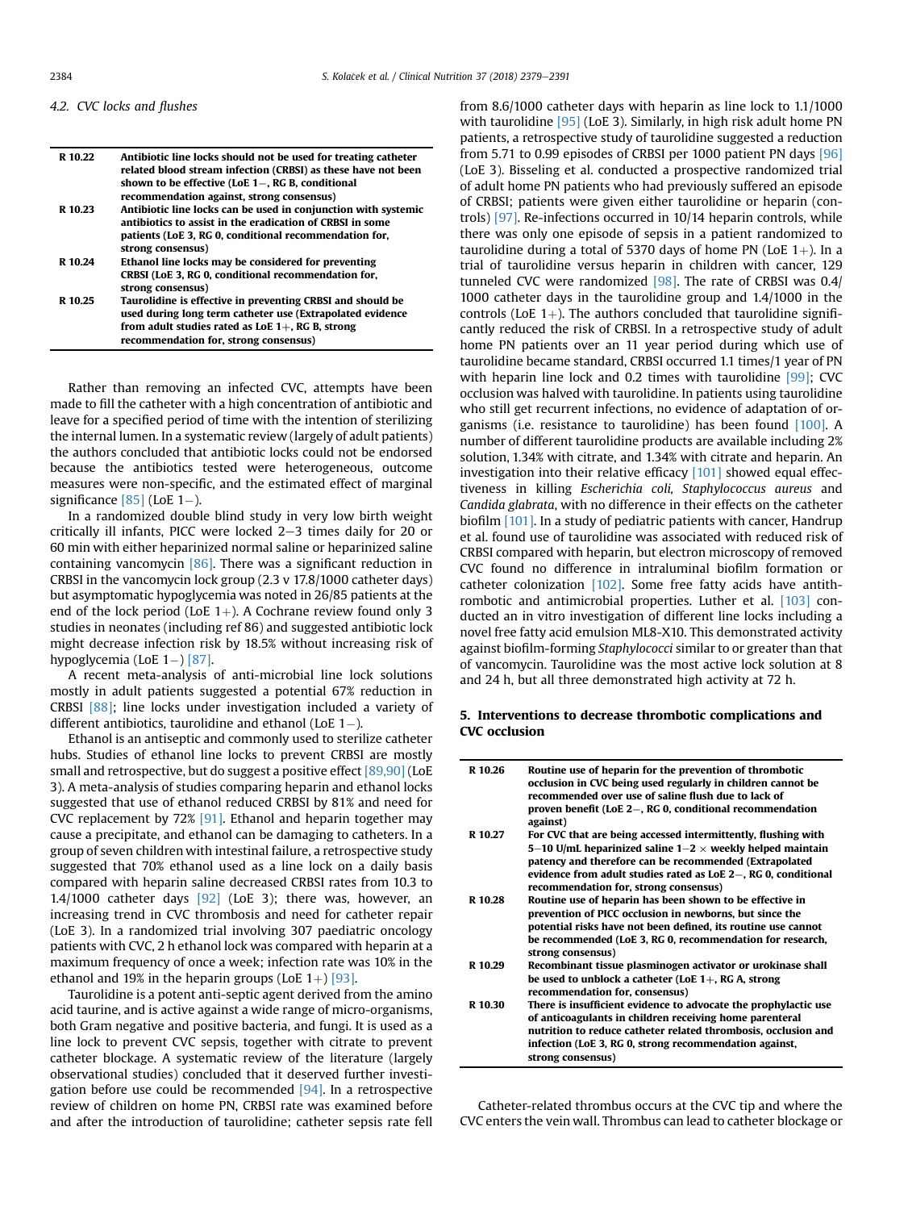#### 4.2. CVC locks and flushes

| R 10.22 | Antibiotic line locks should not be used for treating catheter<br>related blood stream infection (CRBSI) as these have not been<br>shown to be effective (LoE $1-$ , RG B, conditional<br>recommendation against, strong consensus) |
|---------|-------------------------------------------------------------------------------------------------------------------------------------------------------------------------------------------------------------------------------------|
| R 10.23 | Antibiotic line locks can be used in conjunction with systemic<br>antibiotics to assist in the eradication of CRBSI in some<br>patients (LoE 3, RG 0, conditional recommendation for,<br>strong consensus)                          |
| R 10.24 | Ethanol line locks may be considered for preventing<br>CRBSI (LoE 3, RG 0, conditional recommendation for,<br>strong consensus)                                                                                                     |
| R 10.25 | Taurolidine is effective in preventing CRBSI and should be<br>used during long term catheter use (Extrapolated evidence<br>from adult studies rated as LoE $1+$ , RG B, strong<br>recommendation for, strong consensus)             |

Rather than removing an infected CVC, attempts have been made to fill the catheter with a high concentration of antibiotic and leave for a specified period of time with the intention of sterilizing the internal lumen. In a systematic review (largely of adult patients) the authors concluded that antibiotic locks could not be endorsed because the antibiotics tested were heterogeneous, outcome measures were non-specific, and the estimated effect of marginal significance  $[85]$  (LoE 1-).

In a randomized double blind study in very low birth weight critically ill infants, PICC were locked  $2-3$  times daily for 20 or 60 min with either heparinized normal saline or heparinized saline containing vancomycin [\[86\].](#page-10-0) There was a significant reduction in CRBSI in the vancomycin lock group (2.3 v 17.8/1000 catheter days) but asymptomatic hypoglycemia was noted in 26/85 patients at the end of the lock period (LoE  $1+$ ). A Cochrane review found only 3 studies in neonates (including ref 86) and suggested antibiotic lock might decrease infection risk by 18.5% without increasing risk of hypoglycemia (LoE  $1-$ ) [\[87\].](#page-10-0)

A recent meta-analysis of anti-microbial line lock solutions mostly in adult patients suggested a potential 67% reduction in CRBSI [\[88\];](#page-10-0) line locks under investigation included a variety of different antibiotics, taurolidine and ethanol (LoE  $1-$ ).

Ethanol is an antiseptic and commonly used to sterilize catheter hubs. Studies of ethanol line locks to prevent CRBSI are mostly small and retrospective, but do suggest a positive effect [\[89,90\]](#page-10-0) (LoE 3). A meta-analysis of studies comparing heparin and ethanol locks suggested that use of ethanol reduced CRBSI by 81% and need for CVC replacement by 72% [\[91\]](#page-10-0). Ethanol and heparin together may cause a precipitate, and ethanol can be damaging to catheters. In a group of seven children with intestinal failure, a retrospective study suggested that 70% ethanol used as a line lock on a daily basis compared with heparin saline decreased CRBSI rates from 10.3 to 1.4/1000 catheter days  $[92]$  (LoE 3); there was, however, an increasing trend in CVC thrombosis and need for catheter repair (LoE 3). In a randomized trial involving 307 paediatric oncology patients with CVC, 2 h ethanol lock was compared with heparin at a maximum frequency of once a week; infection rate was 10% in the ethanol and 19% in the heparin groups (LoE  $1+$ ) [\[93\].](#page-10-0)

Taurolidine is a potent anti-septic agent derived from the amino acid taurine, and is active against a wide range of micro-organisms, both Gram negative and positive bacteria, and fungi. It is used as a line lock to prevent CVC sepsis, together with citrate to prevent catheter blockage. A systematic review of the literature (largely observational studies) concluded that it deserved further investigation before use could be recommended [\[94\].](#page-10-0) In a retrospective review of children on home PN, CRBSI rate was examined before and after the introduction of taurolidine; catheter sepsis rate fell

from 8.6/1000 catheter days with heparin as line lock to 1.1/1000 with taurolidine [\[95\]](#page-10-0) (LoE 3). Similarly, in high risk adult home PN patients, a retrospective study of taurolidine suggested a reduction from 5.71 to 0.99 episodes of CRBSI per 1000 patient PN days [\[96\]](#page-10-0) (LoE 3). Bisseling et al. conducted a prospective randomized trial of adult home PN patients who had previously suffered an episode of CRBSI; patients were given either taurolidine or heparin (controls) [\[97\].](#page-10-0) Re-infections occurred in 10/14 heparin controls, while there was only one episode of sepsis in a patient randomized to taurolidine during a total of 5370 days of home PN (LoE  $1+$ ). In a trial of taurolidine versus heparin in children with cancer, 129 tunneled CVC were randomized [\[98\]](#page-10-0). The rate of CRBSI was 0.4/ 1000 catheter days in the taurolidine group and 1.4/1000 in the controls (LoE  $1+$ ). The authors concluded that taurolidine significantly reduced the risk of CRBSI. In a retrospective study of adult home PN patients over an 11 year period during which use of taurolidine became standard, CRBSI occurred 1.1 times/1 year of PN with heparin line lock and 0.2 times with taurolidine  $[99]$ ; CVC occlusion was halved with taurolidine. In patients using taurolidine who still get recurrent infections, no evidence of adaptation of or-ganisms (i.e. resistance to taurolidine) has been found [\[100\].](#page-10-0) A number of different taurolidine products are available including 2% solution, 1.34% with citrate, and 1.34% with citrate and heparin. An investigation into their relative efficacy [\[101\]](#page-10-0) showed equal effectiveness in killing Escherichia coli, Staphylococcus aureus and Candida glabrata, with no difference in their effects on the catheter biofilm [\[101\]](#page-10-0). In a study of pediatric patients with cancer, Handrup et al. found use of taurolidine was associated with reduced risk of CRBSI compared with heparin, but electron microscopy of removed CVC found no difference in intraluminal biofilm formation or catheter colonization [\[102\].](#page-10-0) Some free fatty acids have antithrombotic and antimicrobial properties. Luther et al. [\[103\]](#page-10-0) conducted an in vitro investigation of different line locks including a novel free fatty acid emulsion ML8-X10. This demonstrated activity against biofilm-forming Staphylococci similar to or greater than that of vancomycin. Taurolidine was the most active lock solution at 8 and 24 h, but all three demonstrated high activity at 72 h.

# 5. Interventions to decrease thrombotic complications and CVC occlusion

| R 10.26 | Routine use of heparin for the prevention of thrombotic<br>occlusion in CVC being used regularly in children cannot be<br>recommended over use of saline flush due to lack of<br>proven benefit (LoE 2–, RG 0, conditional recommendation<br>against)                                                  |
|---------|--------------------------------------------------------------------------------------------------------------------------------------------------------------------------------------------------------------------------------------------------------------------------------------------------------|
| R 10.27 | For CVC that are being accessed intermittently, flushing with<br>5–10 U/mL heparinized saline $1-2 \times$ weekly helped maintain<br>patency and therefore can be recommended (Extrapolated<br>evidence from adult studies rated as LoE 2–, RG 0, conditional<br>recommendation for, strong consensus) |
| R 10.28 | Routine use of heparin has been shown to be effective in<br>prevention of PICC occlusion in newborns, but since the<br>potential risks have not been defined, its routine use cannot<br>be recommended (LoE 3, RG 0, recommendation for research,<br>strong consensus)                                 |
| R 10.29 | Recombinant tissue plasminogen activator or urokinase shall<br>be used to unblock a catheter (LoE $1+$ , RG A, strong<br>recommendation for, consensus)                                                                                                                                                |
| R 10.30 | There is insufficient evidence to advocate the prophylactic use<br>of anticoagulants in children receiving home parenteral<br>nutrition to reduce catheter related thrombosis, occlusion and<br>infection (LoE 3, RG 0, strong recommendation against,<br>strong consensus)                            |

Catheter-related thrombus occurs at the CVC tip and where the CVC enters the vein wall. Thrombus can lead to catheter blockage or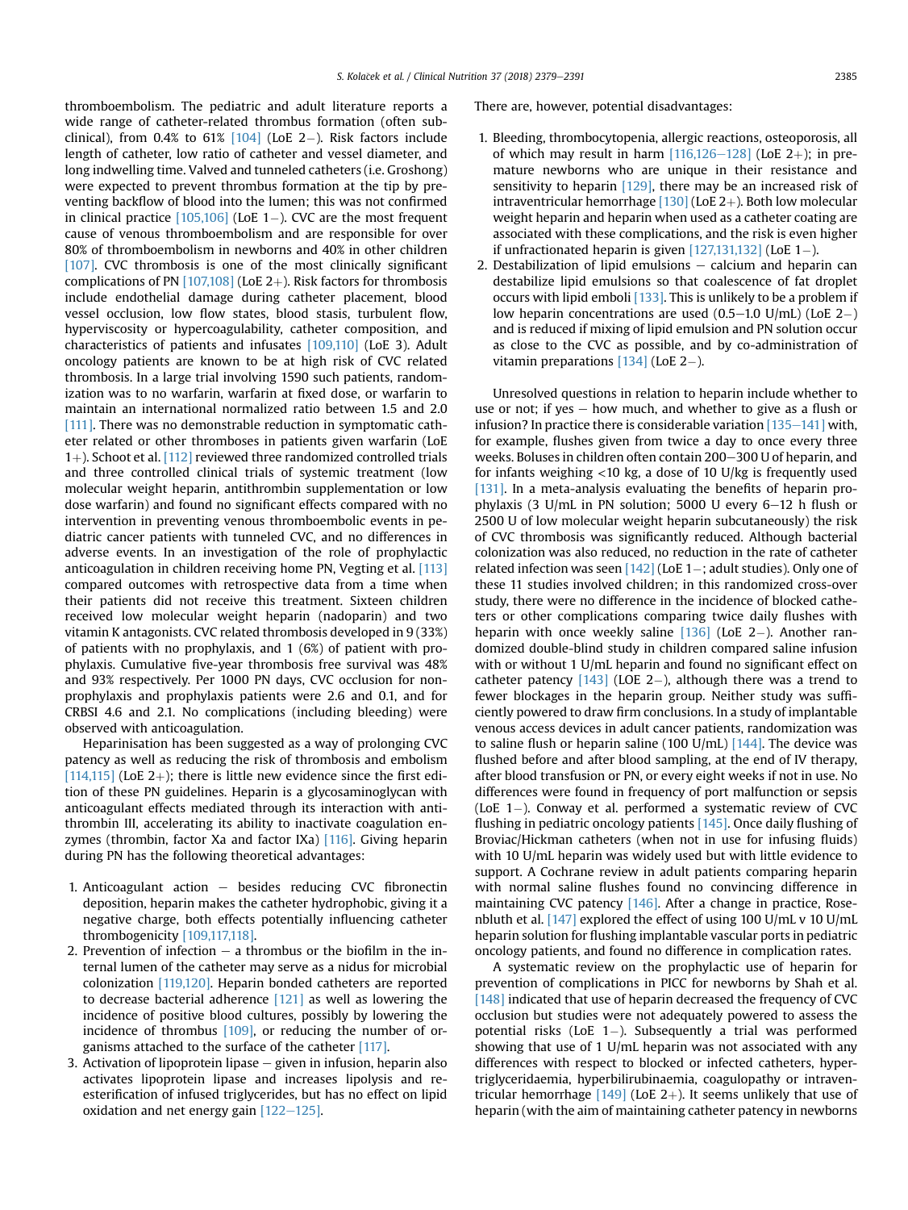thromboembolism. The pediatric and adult literature reports a wide range of catheter-related thrombus formation (often subclinical), from 0.4% to 61%  $[104]$  (LoE 2-). Risk factors include length of catheter, low ratio of catheter and vessel diameter, and long indwelling time. Valved and tunneled catheters (i.e. Groshong) were expected to prevent thrombus formation at the tip by preventing backflow of blood into the lumen; this was not confirmed in clinical practice  $[105,106]$  (LoE 1-). CVC are the most frequent cause of venous thromboembolism and are responsible for over 80% of thromboembolism in newborns and 40% in other children [\[107\]](#page-10-0). CVC thrombosis is one of the most clinically significant complications of PN  $[107,108]$  (LoE 2+). Risk factors for thrombosis include endothelial damage during catheter placement, blood vessel occlusion, low flow states, blood stasis, turbulent flow, hyperviscosity or hypercoagulability, catheter composition, and characteristics of patients and infusates [\[109,110\]](#page-10-0) (LoE 3). Adult oncology patients are known to be at high risk of CVC related thrombosis. In a large trial involving 1590 such patients, randomization was to no warfarin, warfarin at fixed dose, or warfarin to maintain an international normalized ratio between 1.5 and 2.0 [\[111\].](#page-10-0) There was no demonstrable reduction in symptomatic catheter related or other thromboses in patients given warfarin (LoE  $1+$ ). Schoot et al. [\[112\]](#page-10-0) reviewed three randomized controlled trials and three controlled clinical trials of systemic treatment (low molecular weight heparin, antithrombin supplementation or low dose warfarin) and found no significant effects compared with no intervention in preventing venous thromboembolic events in pediatric cancer patients with tunneled CVC, and no differences in adverse events. In an investigation of the role of prophylactic anticoagulation in children receiving home PN, Vegting et al. [\[113\]](#page-11-0) compared outcomes with retrospective data from a time when their patients did not receive this treatment. Sixteen children received low molecular weight heparin (nadoparin) and two vitamin K antagonists. CVC related thrombosis developed in 9 (33%) of patients with no prophylaxis, and 1 (6%) of patient with prophylaxis. Cumulative five-year thrombosis free survival was 48% and 93% respectively. Per 1000 PN days, CVC occlusion for nonprophylaxis and prophylaxis patients were 2.6 and 0.1, and for CRBSI 4.6 and 2.1. No complications (including bleeding) were observed with anticoagulation.

Heparinisation has been suggested as a way of prolonging CVC patency as well as reducing the risk of thrombosis and embolism  $[114,115]$  (LoE 2+); there is little new evidence since the first edition of these PN guidelines. Heparin is a glycosaminoglycan with anticoagulant effects mediated through its interaction with antithrombin III, accelerating its ability to inactivate coagulation enzymes (thrombin, factor Xa and factor IXa) [\[116\]](#page-11-0). Giving heparin during PN has the following theoretical advantages:

- 1. Anticoagulant action  $-$  besides reducing CVC fibronectin deposition, heparin makes the catheter hydrophobic, giving it a negative charge, both effects potentially influencing catheter thrombogenicity [\[109,117,118\].](#page-10-0)
- 2. Prevention of infection  $-$  a thrombus or the biofilm in the internal lumen of the catheter may serve as a nidus for microbial colonization [\[119,120\].](#page-11-0) Heparin bonded catheters are reported to decrease bacterial adherence  $[121]$  as well as lowering the incidence of positive blood cultures, possibly by lowering the incidence of thrombus [\[109\]](#page-10-0), or reducing the number of organisms attached to the surface of the catheter [\[117\].](#page-11-0)
- 3. Activation of lipoprotein lipase  $-$  given in infusion, heparin also activates lipoprotein lipase and increases lipolysis and reesterification of infused triglycerides, but has no effect on lipid oxidation and net energy gain  $[122-125]$  $[122-125]$  $[122-125]$ .

There are, however, potential disadvantages:

- 1. Bleeding, thrombocytopenia, allergic reactions, osteoporosis, all of which may result in harm  $[116,126-128]$  $[116,126-128]$  $[116,126-128]$  (LoE 2+); in premature newborns who are unique in their resistance and sensitivity to heparin [\[129\],](#page-11-0) there may be an increased risk of intraventricular hemorrhage  $[130]$  (LoE 2+). Both low molecular weight heparin and heparin when used as a catheter coating are associated with these complications, and the risk is even higher if unfractionated heparin is given  $[127,131,132]$  (LoE 1-).
- 2. Destabilization of lipid emulsions  $-$  calcium and heparin can destabilize lipid emulsions so that coalescence of fat droplet occurs with lipid emboli [\[133\].](#page-11-0) This is unlikely to be a problem if low heparin concentrations are used  $(0.5-1.0 \text{ U/mL})$  (LoE 2-) and is reduced if mixing of lipid emulsion and PN solution occur as close to the CVC as possible, and by co-administration of vitamin preparations  $[134]$  (LoE 2-).

Unresolved questions in relation to heparin include whether to use or not; if yes  $-$  how much, and whether to give as a flush or infusion? In practice there is considerable variation  $[135-141]$  $[135-141]$  $[135-141]$  with, for example, flushes given from twice a day to once every three weeks. Boluses in children often contain 200–300 U of heparin, and for infants weighing <10 kg, a dose of 10 U/kg is frequently used [\[131\].](#page-11-0) In a meta-analysis evaluating the benefits of heparin prophylaxis (3 U/mL in PN solution; 5000 U every  $6-12$  h flush or 2500 U of low molecular weight heparin subcutaneously) the risk of CVC thrombosis was significantly reduced. Although bacterial colonization was also reduced, no reduction in the rate of catheter related infection was seen  $[142]$  (LoE 1-; adult studies). Only one of these 11 studies involved children; in this randomized cross-over study, there were no difference in the incidence of blocked catheters or other complications comparing twice daily flushes with heparin with once weekly saline  $[136]$  (LoE 2-). Another randomized double-blind study in children compared saline infusion with or without 1 U/mL heparin and found no significant effect on catheter patency  $[143]$  (LOE 2-), although there was a trend to fewer blockages in the heparin group. Neither study was sufficiently powered to draw firm conclusions. In a study of implantable venous access devices in adult cancer patients, randomization was to saline flush or heparin saline (100 U/mL)  $[144]$ . The device was flushed before and after blood sampling, at the end of IV therapy, after blood transfusion or PN, or every eight weeks if not in use. No differences were found in frequency of port malfunction or sepsis (LoE  $1-$ ). Conway et al. performed a systematic review of CVC flushing in pediatric oncology patients [\[145\]](#page-11-0). Once daily flushing of Broviac/Hickman catheters (when not in use for infusing fluids) with 10 U/mL heparin was widely used but with little evidence to support. A Cochrane review in adult patients comparing heparin with normal saline flushes found no convincing difference in maintaining CVC patency [\[146\].](#page-11-0) After a change in practice, Rosenbluth et al. [\[147\]](#page-11-0) explored the effect of using 100 U/mL v 10 U/mL heparin solution for flushing implantable vascular ports in pediatric oncology patients, and found no difference in complication rates.

A systematic review on the prophylactic use of heparin for prevention of complications in PICC for newborns by Shah et al. [\[148\]](#page-11-0) indicated that use of heparin decreased the frequency of CVC occlusion but studies were not adequately powered to assess the potential risks (LoE  $1-$ ). Subsequently a trial was performed showing that use of 1 U/mL heparin was not associated with any differences with respect to blocked or infected catheters, hypertriglyceridaemia, hyperbilirubinaemia, coagulopathy or intraventricular hemorrhage  $[149]$  (LoE 2+). It seems unlikely that use of heparin (with the aim of maintaining catheter patency in newborns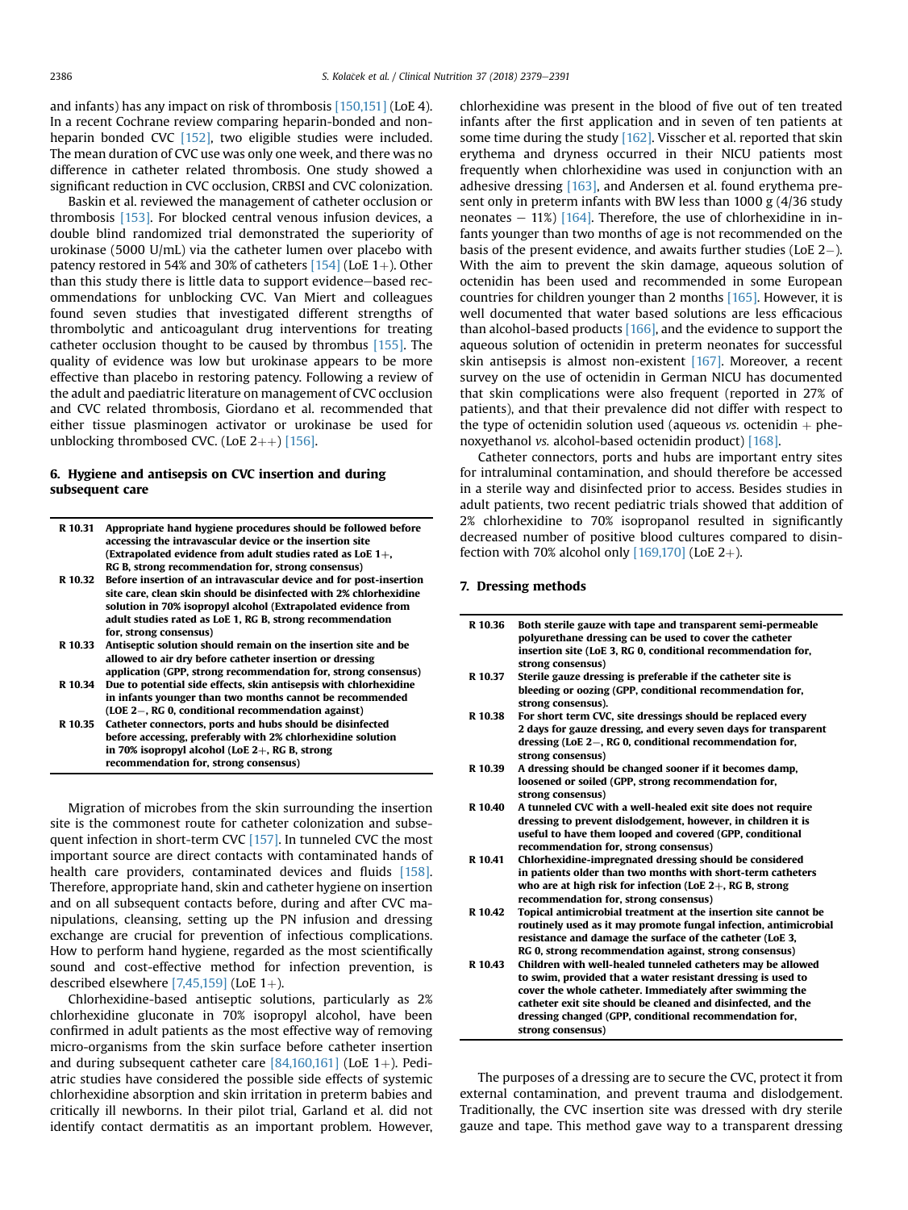and infants) has any impact on risk of thrombosis [\[150,151\]](#page-11-0) (LoE 4). In a recent Cochrane review comparing heparin-bonded and non-heparin bonded CVC [\[152\]](#page-11-0), two eligible studies were included. The mean duration of CVC use was only one week, and there was no difference in catheter related thrombosis. One study showed a significant reduction in CVC occlusion, CRBSI and CVC colonization.

Baskin et al. reviewed the management of catheter occlusion or thrombosis [\[153\]](#page-11-0). For blocked central venous infusion devices, a double blind randomized trial demonstrated the superiority of urokinase (5000 U/mL) via the catheter lumen over placebo with patency restored in 54% and 30% of catheters  $[154]$  (LoE 1+). Other than this study there is little data to support evidence-based recommendations for unblocking CVC. Van Miert and colleagues found seven studies that investigated different strengths of thrombolytic and anticoagulant drug interventions for treating catheter occlusion thought to be caused by thrombus [\[155\].](#page-11-0) The quality of evidence was low but urokinase appears to be more effective than placebo in restoring patency. Following a review of the adult and paediatric literature on management of CVC occlusion and CVC related thrombosis, Giordano et al. recommended that either tissue plasminogen activator or urokinase be used for unblocking thrombosed CVC. (LoE  $2++$ ) [\[156\].](#page-11-0)

# 6. Hygiene and antisepsis on CVC insertion and during subsequent care

| R 10.31 | Appropriate hand hygiene procedures should be followed before<br>accessing the intravascular device or the insertion site |
|---------|---------------------------------------------------------------------------------------------------------------------------|
|         | (Extrapolated evidence from adult studies rated as LoE $1+$ ,                                                             |
|         | RG B, strong recommendation for, strong consensus)                                                                        |
| R 10.32 | Before insertion of an intravascular device and for post-insertion                                                        |
|         | site care, clean skin should be disinfected with 2% chlorhexidine                                                         |
|         | solution in 70% isopropyl alcohol (Extrapolated evidence from                                                             |
|         | adult studies rated as LoE 1, RG B, strong recommendation                                                                 |
|         | for, strong consensus)                                                                                                    |
| R 10.33 | Antiseptic solution should remain on the insertion site and be                                                            |
|         | allowed to air dry before catheter insertion or dressing                                                                  |
|         | application (GPP, strong recommendation for, strong consensus)                                                            |
| R 10.34 | Due to potential side effects, skin antisepsis with chlorhexidine                                                         |
|         | in infants younger than two months cannot be recommended                                                                  |
|         | (LOE 2–, RG 0, conditional recommendation against)                                                                        |
| R 10.35 | Catheter connectors, ports and hubs should be disinfected                                                                 |
|         | before accessing, preferably with 2% chlorhexidine solution                                                               |
|         | in 70% isopropyl alcohol (LoE $2+$ , RG B, strong                                                                         |
|         | recommendation for, strong consensus)                                                                                     |

Migration of microbes from the skin surrounding the insertion site is the commonest route for catheter colonization and subse-quent infection in short-term CVC [\[157\].](#page-11-0) In tunneled CVC the most important source are direct contacts with contaminated hands of health care providers, contaminated devices and fluids [\[158\].](#page-11-0) Therefore, appropriate hand, skin and catheter hygiene on insertion and on all subsequent contacts before, during and after CVC manipulations, cleansing, setting up the PN infusion and dressing exchange are crucial for prevention of infectious complications. How to perform hand hygiene, regarded as the most scientifically sound and cost-effective method for infection prevention, is described elsewhere  $[7,45,159]$  (LoE 1+).

Chlorhexidine-based antiseptic solutions, particularly as 2% chlorhexidine gluconate in 70% isopropyl alcohol, have been confirmed in adult patients as the most effective way of removing micro-organisms from the skin surface before catheter insertion and during subsequent catheter care  $[84,160,161]$  (LoE 1+). Pediatric studies have considered the possible side effects of systemic chlorhexidine absorption and skin irritation in preterm babies and critically ill newborns. In their pilot trial, Garland et al. did not identify contact dermatitis as an important problem. However, chlorhexidine was present in the blood of five out of ten treated infants after the first application and in seven of ten patients at some time during the study [\[162\].](#page-11-0) Visscher et al. reported that skin erythema and dryness occurred in their NICU patients most frequently when chlorhexidine was used in conjunction with an adhesive dressing [\[163\],](#page-11-0) and Andersen et al. found erythema present only in preterm infants with BW less than 1000 g (4/36 study neonates  $-11\%$  [\[164\].](#page-12-0) Therefore, the use of chlorhexidine in infants younger than two months of age is not recommended on the basis of the present evidence, and awaits further studies (LoE  $2-$ ). With the aim to prevent the skin damage, aqueous solution of octenidin has been used and recommended in some European countries for children younger than 2 months [\[165\].](#page-12-0) However, it is well documented that water based solutions are less efficacious than alcohol-based products  $[166]$ , and the evidence to support the aqueous solution of octenidin in preterm neonates for successful skin antisepsis is almost non-existent [\[167\]](#page-12-0). Moreover, a recent survey on the use of octenidin in German NICU has documented that skin complications were also frequent (reported in 27% of patients), and that their prevalence did not differ with respect to the type of octenidin solution used (aqueous *vs.* octenidin  $+$  phenoxyethanol vs. alcohol-based octenidin product) [\[168\].](#page-12-0)

Catheter connectors, ports and hubs are important entry sites for intraluminal contamination, and should therefore be accessed in a sterile way and disinfected prior to access. Besides studies in adult patients, two recent pediatric trials showed that addition of 2% chlorhexidine to 70% isopropanol resulted in significantly decreased number of positive blood cultures compared to disinfection with 70% alcohol only  $[169,170]$  (LoE 2+).

#### 7. Dressing methods

- R 10.36 Both sterile gauze with tape and transparent semi-permeable polyurethane dressing can be used to cover the catheter insertion site (LoE 3, RG 0, conditional recommendation for, strong consensus) R 10.37 Sterile gauze dressing is preferable if the catheter site is bleeding or oozing (GPP, conditional recommendation for, strong consensus). R 10.38 For short term CVC, site dressings should be replaced every 2 days for gauze dressing, and every seven days for transparent dressing (LoE  $2-$ , RG 0, conditional recommendation for, strong consensus) R 10.39 A dressing should be changed sooner if it becomes damp, loosened or soiled (GPP, strong recommendation for, strong consensus) R 10.40 A tunneled CVC with a well-healed exit site does not require dressing to prevent dislodgement, however, in children it is useful to have them looped and covered (GPP, conditional recommendation for, strong consensus) R 10.41 Chlorhexidine-impregnated dressing should be considered in patients older than two months with short-term catheters who are at high risk for infection (LoE  $2+$ , RG B, strong recommendation for, strong consensus) R 10.42 Topical antimicrobial treatment at the insertion site cannot be routinely used as it may promote fungal infection, antimicrobial resistance and damage the surface of the catheter (LoE 3, RG 0, strong recommendation against, strong consensus) R 10.43 Children with well-healed tunneled catheters may be allowed to swim, provided that a water resistant dressing is used to
- cover the whole catheter. Immediately after swimming the catheter exit site should be cleaned and disinfected, and the dressing changed (GPP, conditional recommendation for, strong consensus)

The purposes of a dressing are to secure the CVC, protect it from external contamination, and prevent trauma and dislodgement. Traditionally, the CVC insertion site was dressed with dry sterile gauze and tape. This method gave way to a transparent dressing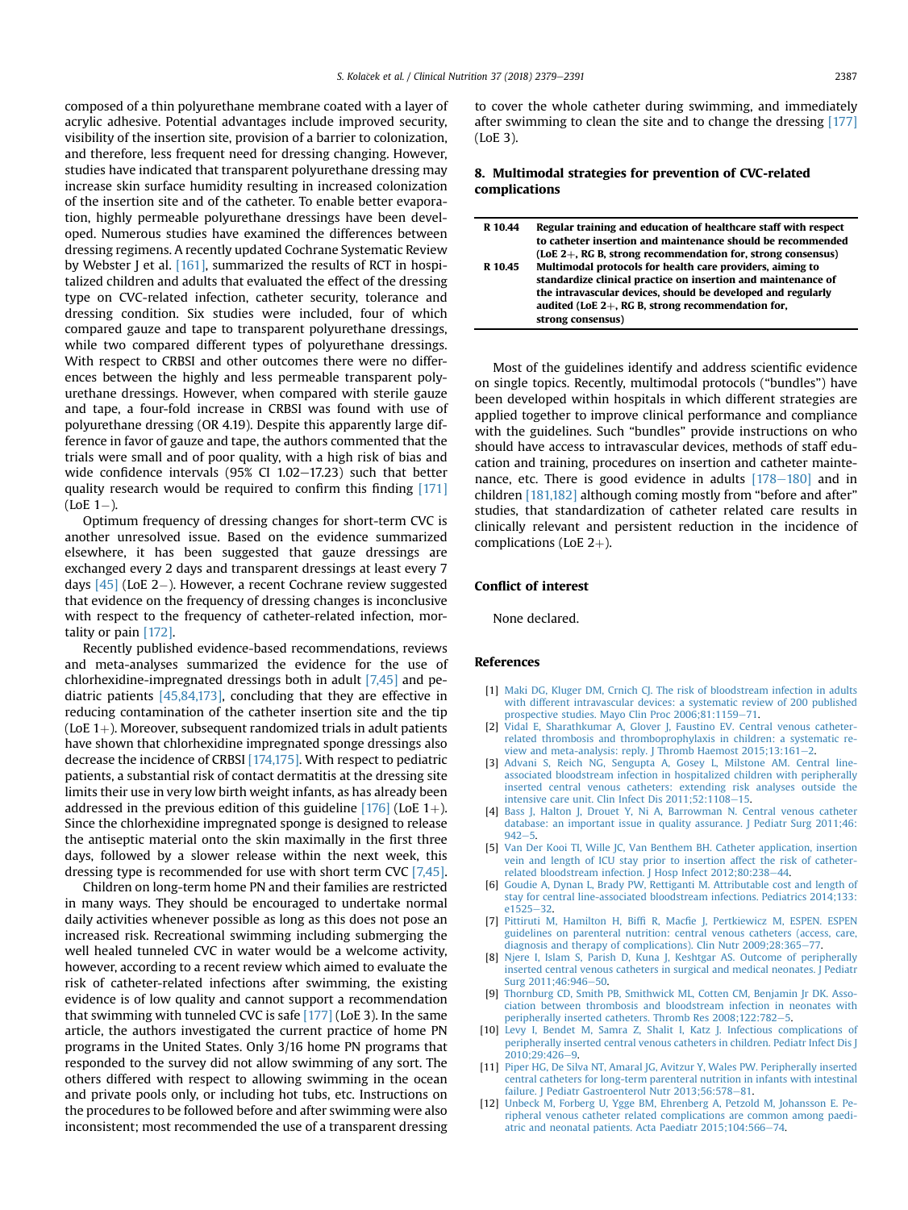<span id="page-8-0"></span>composed of a thin polyurethane membrane coated with a layer of acrylic adhesive. Potential advantages include improved security, visibility of the insertion site, provision of a barrier to colonization, and therefore, less frequent need for dressing changing. However, studies have indicated that transparent polyurethane dressing may increase skin surface humidity resulting in increased colonization of the insertion site and of the catheter. To enable better evaporation, highly permeable polyurethane dressings have been developed. Numerous studies have examined the differences between dressing regimens. A recently updated Cochrane Systematic Review by Webster J et al. [\[161\],](#page-11-0) summarized the results of RCT in hospitalized children and adults that evaluated the effect of the dressing type on CVC-related infection, catheter security, tolerance and dressing condition. Six studies were included, four of which compared gauze and tape to transparent polyurethane dressings, while two compared different types of polyurethane dressings. With respect to CRBSI and other outcomes there were no differences between the highly and less permeable transparent polyurethane dressings. However, when compared with sterile gauze and tape, a four-fold increase in CRBSI was found with use of polyurethane dressing (OR 4.19). Despite this apparently large difference in favor of gauze and tape, the authors commented that the trials were small and of poor quality, with a high risk of bias and wide confidence intervals (95% CI 1.02-17.23) such that better quality research would be required to confirm this finding [\[171\]](#page-12-0)  $($ LoE  $1$ – $).$ 

Optimum frequency of dressing changes for short-term CVC is another unresolved issue. Based on the evidence summarized elsewhere, it has been suggested that gauze dressings are exchanged every 2 days and transparent dressings at least every 7 days  $[45]$  (LoE 2-). However, a recent Cochrane review suggested that evidence on the frequency of dressing changes is inconclusive with respect to the frequency of catheter-related infection, mortality or pain [\[172\]](#page-12-0).

Recently published evidence-based recommendations, reviews and meta-analyses summarized the evidence for the use of chlorhexidine-impregnated dressings both in adult [7,45] and pediatric patients [\[45,84,173\],](#page-9-0) concluding that they are effective in reducing contamination of the catheter insertion site and the tip (LoE  $1+$ ). Moreover, subsequent randomized trials in adult patients have shown that chlorhexidine impregnated sponge dressings also decrease the incidence of CRBSI [\[174,175\]](#page-12-0). With respect to pediatric patients, a substantial risk of contact dermatitis at the dressing site limits their use in very low birth weight infants, as has already been addressed in the previous edition of this guideline  $[176]$  (LoE 1+). Since the chlorhexidine impregnated sponge is designed to release the antiseptic material onto the skin maximally in the first three days, followed by a slower release within the next week, this dressing type is recommended for use with short term CVC [7,45].

Children on long-term home PN and their families are restricted in many ways. They should be encouraged to undertake normal daily activities whenever possible as long as this does not pose an increased risk. Recreational swimming including submerging the well healed tunneled CVC in water would be a welcome activity, however, according to a recent review which aimed to evaluate the risk of catheter-related infections after swimming, the existing evidence is of low quality and cannot support a recommendation that swimming with tunneled CVC is safe  $[177]$  (LoE 3). In the same article, the authors investigated the current practice of home PN programs in the United States. Only 3/16 home PN programs that responded to the survey did not allow swimming of any sort. The others differed with respect to allowing swimming in the ocean and private pools only, or including hot tubs, etc. Instructions on the procedures to be followed before and after swimming were also inconsistent; most recommended the use of a transparent dressing to cover the whole catheter during swimming, and immediately after swimming to clean the site and to change the dressing [\[177\]](#page-12-0) (LoE 3).

# 8. Multimodal strategies for prevention of CVC-related complications

| R 10.44 | Regular training and education of healthcare staff with respect |
|---------|-----------------------------------------------------------------|
|         | to catheter insertion and maintenance should be recommended     |
|         | (LoE 2+, RG B, strong recommendation for, strong consensus)     |
| R 10.45 | Multimodal protocols for health care providers, aiming to       |
|         | standardize clinical practice on insertion and maintenance of   |
|         | the intravascular devices, should be developed and regularly    |
|         | audited (LoE $2+$ , RG B, strong recommendation for,            |
|         | strong consensus)                                               |

Most of the guidelines identify and address scientific evidence on single topics. Recently, multimodal protocols ("bundles") have been developed within hospitals in which different strategies are applied together to improve clinical performance and compliance with the guidelines. Such "bundles" provide instructions on who should have access to intravascular devices, methods of staff education and training, procedures on insertion and catheter maintenance, etc. There is good evidence in adults  $[178-180]$  $[178-180]$  $[178-180]$  and in children [\[181,182\]](#page-12-0) although coming mostly from "before and after" studies, that standardization of catheter related care results in clinically relevant and persistent reduction in the incidence of complications (LoE  $2+$ ).

#### Conflict of interest

None declared.

### References

- [1] [Maki DG, Kluger DM, Crnich CJ. The risk of bloodstream infection in adults](http://refhub.elsevier.com/S0261-5614(18)31171-3/sref1) [with different intravascular devices: a systematic review of 200 published](http://refhub.elsevier.com/S0261-5614(18)31171-3/sref1) prospective studies. Mayo Clin Proc 2006:81:1159-[71](http://refhub.elsevier.com/S0261-5614(18)31171-3/sref1).
- [2] [Vidal E, Sharathkumar A, Glover J, Faustino EV. Central venous catheter](http://refhub.elsevier.com/S0261-5614(18)31171-3/sref2)[related thrombosis and thromboprophylaxis in children: a systematic re](http://refhub.elsevier.com/S0261-5614(18)31171-3/sref2)view and meta-analysis: reply. J Thromb Haemost  $2015;13:161-2$  $2015;13:161-2$ .
- [3] [Advani S, Reich NG, Sengupta A, Gosey L, Milstone AM. Central line](http://refhub.elsevier.com/S0261-5614(18)31171-3/sref3)[associated bloodstream infection in hospitalized children with peripherally](http://refhub.elsevier.com/S0261-5614(18)31171-3/sref3) [inserted central venous catheters: extending risk analyses outside the](http://refhub.elsevier.com/S0261-5614(18)31171-3/sref3) intensive care unit. Clin Infect Dis  $2011:52:1108-15$ .
- [4] [Bass J, Halton J, Drouet Y, Ni A, Barrowman N. Central venous catheter](http://refhub.elsevier.com/S0261-5614(18)31171-3/sref4) [database: an important issue in quality assurance. J Pediatr Surg 2011;46:](http://refhub.elsevier.com/S0261-5614(18)31171-3/sref4)  $942 - 5.$  $942 - 5.$  $942 - 5.$  $942 - 5.$
- [5] [Van Der Kooi TI, Wille JC, Van Benthem BH. Catheter application, insertion](http://refhub.elsevier.com/S0261-5614(18)31171-3/sref5) [vein and length of ICU stay prior to insertion affect the risk of catheter](http://refhub.elsevier.com/S0261-5614(18)31171-3/sref5)[related bloodstream infection. J Hosp Infect 2012;80:238](http://refhub.elsevier.com/S0261-5614(18)31171-3/sref5)–[44.](http://refhub.elsevier.com/S0261-5614(18)31171-3/sref5)<br>[6] [Goudie A, Dynan L, Brady PW, Rettiganti M. Attributable cost and length of](http://refhub.elsevier.com/S0261-5614(18)31171-3/sref6)
- [stay for central line-associated bloodstream infections. Pediatrics 2014;133:](http://refhub.elsevier.com/S0261-5614(18)31171-3/sref6)  $e1525 - 32$  $e1525 - 32$  $e1525 - 32$
- [7] Pittiruti M, Hamilton H, Biffi R, Macfi[e J, Pertkiewicz M, ESPEN. ESPEN](http://refhub.elsevier.com/S0261-5614(18)31171-3/sref7) [guidelines on parenteral nutrition: central venous catheters \(access, care,](http://refhub.elsevier.com/S0261-5614(18)31171-3/sref7) [diagnosis and therapy of complications\). Clin Nutr 2009;28:365](http://refhub.elsevier.com/S0261-5614(18)31171-3/sref7)-[77.](http://refhub.elsevier.com/S0261-5614(18)31171-3/sref7)
- [8] [Njere I, Islam S, Parish D, Kuna J, Keshtgar AS. Outcome of peripherally](http://refhub.elsevier.com/S0261-5614(18)31171-3/sref8) [inserted central venous catheters in surgical and medical neonates. J Pediatr](http://refhub.elsevier.com/S0261-5614(18)31171-3/sref8) [Surg 2011;46:946](http://refhub.elsevier.com/S0261-5614(18)31171-3/sref8)-[50](http://refhub.elsevier.com/S0261-5614(18)31171-3/sref8).
- [9] [Thornburg CD, Smith PB, Smithwick ML, Cotten CM, Benjamin Jr DK. Asso](http://refhub.elsevier.com/S0261-5614(18)31171-3/sref9)[ciation between thrombosis and bloodstream infection in neonates with](http://refhub.elsevier.com/S0261-5614(18)31171-3/sref9) [peripherally inserted catheters. Thromb Res 2008;122:782](http://refhub.elsevier.com/S0261-5614(18)31171-3/sref9)-[5.](http://refhub.elsevier.com/S0261-5614(18)31171-3/sref9)
- [10] [Levy I, Bendet M, Samra Z, Shalit I, Katz J. Infectious complications of](http://refhub.elsevier.com/S0261-5614(18)31171-3/sref10) [peripherally inserted central venous catheters in children. Pediatr Infect Dis J](http://refhub.elsevier.com/S0261-5614(18)31171-3/sref10)  $2010:29:426-9$
- [11] [Piper HG, De Silva NT, Amaral JG, Avitzur Y, Wales PW. Peripherally inserted](http://refhub.elsevier.com/S0261-5614(18)31171-3/sref11) [central catheters for long-term parenteral nutrition in infants with intestinal](http://refhub.elsevier.com/S0261-5614(18)31171-3/sref11) [failure. J Pediatr Gastroenterol Nutr 2013;56:578](http://refhub.elsevier.com/S0261-5614(18)31171-3/sref11)-[81.](http://refhub.elsevier.com/S0261-5614(18)31171-3/sref11)
- [12] [Unbeck M, Forberg U, Ygge BM, Ehrenberg A, Petzold M, Johansson E. Pe](http://refhub.elsevier.com/S0261-5614(18)31171-3/sref12)[ripheral venous catheter related complications are common among paedi](http://refhub.elsevier.com/S0261-5614(18)31171-3/sref12)[atric and neonatal patients. Acta Paediatr 2015;104:566](http://refhub.elsevier.com/S0261-5614(18)31171-3/sref12)-[74.](http://refhub.elsevier.com/S0261-5614(18)31171-3/sref12)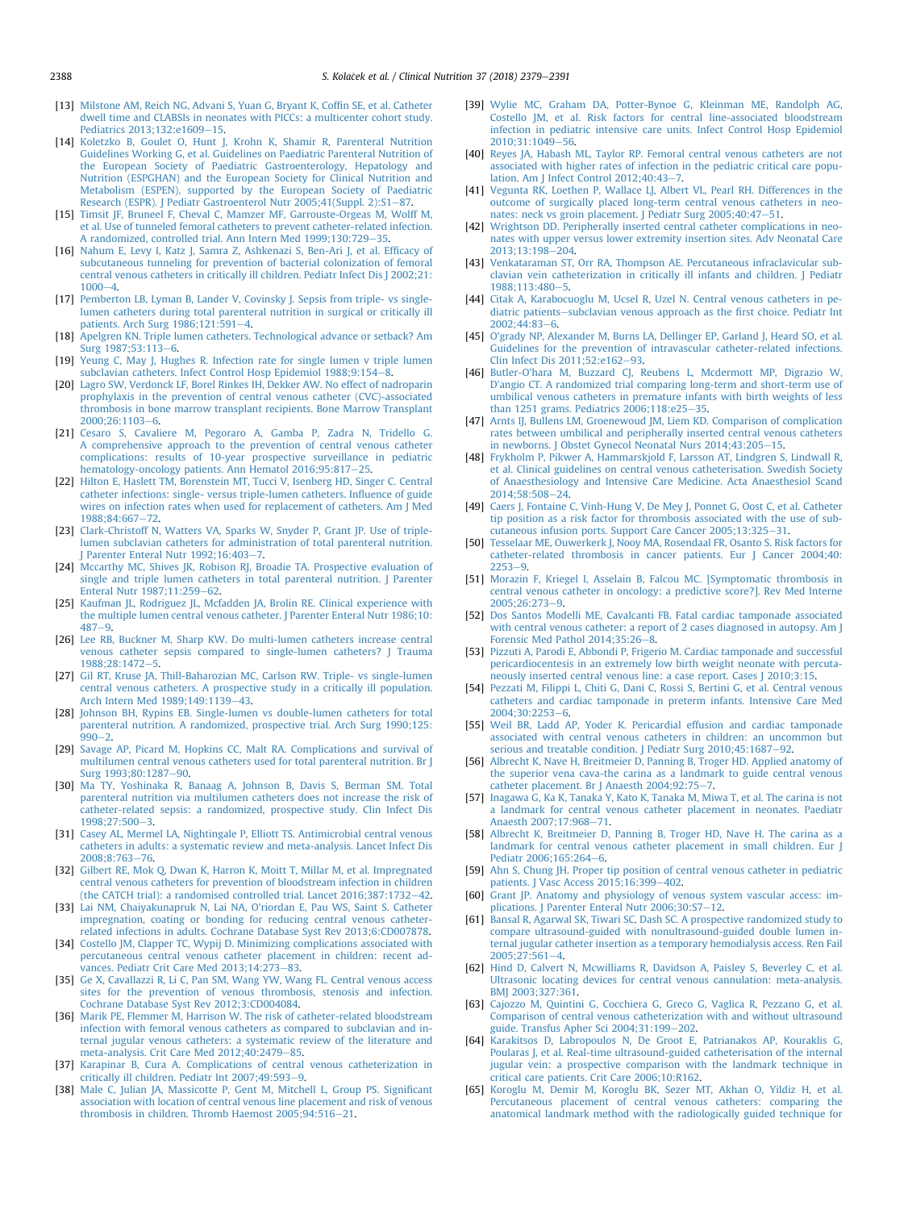- <span id="page-9-0"></span>[13] [Milstone AM, Reich NG, Advani S, Yuan G, Bryant K, Cof](http://refhub.elsevier.com/S0261-5614(18)31171-3/sref13)fin SE, et al. Catheter [dwell time and CLABSIs in neonates with PICCs: a multicenter cohort study.](http://refhub.elsevier.com/S0261-5614(18)31171-3/sref13) Pediatrics 2013:132:e1609-[15.](http://refhub.elsevier.com/S0261-5614(18)31171-3/sref13)
- [14] [Koletzko B, Goulet O, Hunt J, Krohn K, Shamir R, Parenteral Nutrition](http://refhub.elsevier.com/S0261-5614(18)31171-3/sref14) [Guidelines Working G, et al. Guidelines on Paediatric Parenteral Nutrition of](http://refhub.elsevier.com/S0261-5614(18)31171-3/sref14) [the European Society of Paediatric Gastroenterology, Hepatology and](http://refhub.elsevier.com/S0261-5614(18)31171-3/sref14) [Nutrition \(ESPGHAN\) and the European Society for Clinical Nutrition and](http://refhub.elsevier.com/S0261-5614(18)31171-3/sref14) [Metabolism \(ESPEN\), supported by the European Society of Paediatric](http://refhub.elsevier.com/S0261-5614(18)31171-3/sref14) [Research \(ESPR\). J Pediatr Gastroenterol Nutr 2005;41\(Suppl. 2\):S1](http://refhub.elsevier.com/S0261-5614(18)31171-3/sref14)-[87.](http://refhub.elsevier.com/S0261-5614(18)31171-3/sref14)
- [15] [Timsit JF, Bruneel F, Cheval C, Mamzer MF, Garrouste-Orgeas M, Wolff M,](http://refhub.elsevier.com/S0261-5614(18)31171-3/sref15) [et al. Use of tunneled femoral catheters to prevent catheter-related infection.](http://refhub.elsevier.com/S0261-5614(18)31171-3/sref15) [A randomized, controlled trial. Ann Intern Med 1999;130:729](http://refhub.elsevier.com/S0261-5614(18)31171-3/sref15)-[35.](http://refhub.elsevier.com/S0261-5614(18)31171-3/sref15)
- [16] [Nahum E, Levy I, Katz J, Samra Z, Ashkenazi S, Ben-Ari J, et al. Ef](http://refhub.elsevier.com/S0261-5614(18)31171-3/sref16)ficacy of [subcutaneous tunneling for prevention of bacterial colonization of femoral](http://refhub.elsevier.com/S0261-5614(18)31171-3/sref16) [central venous catheters in critically ill children. Pediatr Infect Dis J 2002;21:](http://refhub.elsevier.com/S0261-5614(18)31171-3/sref16)  $1000 - 4.$  $1000 - 4.$  $1000 - 4.$
- [17] Pemberton LB, Lyman B, Lander V, Covinsky J, Sepsis from triple- vs single[lumen catheters during total parenteral nutrition in surgical or critically ill](http://refhub.elsevier.com/S0261-5614(18)31171-3/sref17)
- [patients. Arch Surg 1986;121:591](http://refhub.elsevier.com/S0261-5614(18)31171-3/sref17)e[4](http://refhub.elsevier.com/S0261-5614(18)31171-3/sref17). [18] [Apelgren KN. Triple lumen catheters. Technological advance or setback? Am](http://refhub.elsevier.com/S0261-5614(18)31171-3/sref18) Surg 1987:53:113-6
- [19] [Yeung C, May J, Hughes R. Infection rate for single lumen v triple lumen](http://refhub.elsevier.com/S0261-5614(18)31171-3/sref19) [subclavian catheters. Infect Control Hosp Epidemiol 1988;9:154](http://refhub.elsevier.com/S0261-5614(18)31171-3/sref19)-[8.](http://refhub.elsevier.com/S0261-5614(18)31171-3/sref19)
- [20] [Lagro SW, Verdonck LF, Borel Rinkes IH, Dekker AW. No effect of nadroparin](http://refhub.elsevier.com/S0261-5614(18)31171-3/sref20) [prophylaxis in the prevention of central venous catheter \(CVC\)-associated](http://refhub.elsevier.com/S0261-5614(18)31171-3/sref20) [thrombosis in bone marrow transplant recipients. Bone Marrow Transplant](http://refhub.elsevier.com/S0261-5614(18)31171-3/sref20)  $2000:26:1103-6$
- [21] [Cesaro S, Cavaliere M, Pegoraro A, Gamba P, Zadra N, Tridello G.](http://refhub.elsevier.com/S0261-5614(18)31171-3/sref21) [A comprehensive approach to the prevention of central venous catheter](http://refhub.elsevier.com/S0261-5614(18)31171-3/sref21) [complications: results of 10-year prospective surveillance in pediatric](http://refhub.elsevier.com/S0261-5614(18)31171-3/sref21) [hematology-oncology patients. Ann Hematol 2016;95:817](http://refhub.elsevier.com/S0261-5614(18)31171-3/sref21)-[25.](http://refhub.elsevier.com/S0261-5614(18)31171-3/sref21)
- [22] [Hilton E, Haslett TM, Borenstein MT, Tucci V, Isenberg HD, Singer C. Central](http://refhub.elsevier.com/S0261-5614(18)31171-3/sref22) [catheter infections: single- versus triple-lumen catheters. In](http://refhub.elsevier.com/S0261-5614(18)31171-3/sref22)fluence of guide [wires on infection rates when used for replacement of catheters. Am J Med](http://refhub.elsevier.com/S0261-5614(18)31171-3/sref22) 1988:84:667-[72.](http://refhub.elsevier.com/S0261-5614(18)31171-3/sref22)
- [23] [Clark-Christoff N, Watters VA, Sparks W, Snyder P, Grant JP. Use of triple](http://refhub.elsevier.com/S0261-5614(18)31171-3/sref23)[lumen subclavian catheters for administration of total parenteral nutrition.](http://refhub.elsevier.com/S0261-5614(18)31171-3/sref23) Parenter Enteral Nutr 1992;16:403-[7](http://refhub.elsevier.com/S0261-5614(18)31171-3/sref23).
- [24] [Mccarthy MC, Shives JK, Robison RJ, Broadie TA. Prospective evaluation of](http://refhub.elsevier.com/S0261-5614(18)31171-3/sref24) [single and triple lumen catheters in total parenteral nutrition. J Parenter](http://refhub.elsevier.com/S0261-5614(18)31171-3/sref24) [Enteral Nutr 1987;11:259](http://refhub.elsevier.com/S0261-5614(18)31171-3/sref24)-[62.](http://refhub.elsevier.com/S0261-5614(18)31171-3/sref24)
- [25] [Kaufman JL, Rodriguez JL, Mcfadden JA, Brolin RE. Clinical experience with](http://refhub.elsevier.com/S0261-5614(18)31171-3/sref25) [the multiple lumen central venous catheter. J Parenter Enteral Nutr 1986;10:](http://refhub.elsevier.com/S0261-5614(18)31171-3/sref25)  $487 - 9.$  $487 - 9.$  $487 - 9.$
- [26] [Lee RB, Buckner M, Sharp KW. Do multi-lumen catheters increase central](http://refhub.elsevier.com/S0261-5614(18)31171-3/sref26) [venous catheter sepsis compared to single-lumen catheters? J Trauma](http://refhub.elsevier.com/S0261-5614(18)31171-3/sref26) 1988:28:1472-[5.](http://refhub.elsevier.com/S0261-5614(18)31171-3/sref26)
- [27] [Gil RT, Kruse JA, Thill-Baharozian MC, Carlson RW. Triple- vs single-lumen](http://refhub.elsevier.com/S0261-5614(18)31171-3/sref27) [central venous catheters. A prospective study in a critically ill population.](http://refhub.elsevier.com/S0261-5614(18)31171-3/sref27) [Arch Intern Med 1989;149:1139](http://refhub.elsevier.com/S0261-5614(18)31171-3/sref27)-[43](http://refhub.elsevier.com/S0261-5614(18)31171-3/sref27).
- [28] [Johnson BH, Rypins EB. Single-lumen vs double-lumen catheters for total](http://refhub.elsevier.com/S0261-5614(18)31171-3/sref28) [parenteral nutrition. A randomized, prospective trial. Arch Surg 1990;125:](http://refhub.elsevier.com/S0261-5614(18)31171-3/sref28)  $990 - 2$  $990 - 2$
- [29] [Savage AP, Picard M, Hopkins CC, Malt RA. Complications and survival of](http://refhub.elsevier.com/S0261-5614(18)31171-3/sref29) [multilumen central venous catheters used for total parenteral nutrition. Br J](http://refhub.elsevier.com/S0261-5614(18)31171-3/sref29) [Surg 1993;80:1287](http://refhub.elsevier.com/S0261-5614(18)31171-3/sref29)-[90.](http://refhub.elsevier.com/S0261-5614(18)31171-3/sref29)
- [30] [Ma TY, Yoshinaka R, Banaag A, Johnson B, Davis S, Berman SM. Total](http://refhub.elsevier.com/S0261-5614(18)31171-3/sref30) [parenteral nutrition via multilumen catheters does not increase the risk of](http://refhub.elsevier.com/S0261-5614(18)31171-3/sref30) [catheter-related sepsis: a randomized, prospective study. Clin Infect Dis](http://refhub.elsevier.com/S0261-5614(18)31171-3/sref30) 1998:27:500-[3](http://refhub.elsevier.com/S0261-5614(18)31171-3/sref30).
- [31] [Casey AL, Mermel LA, Nightingale P, Elliott TS. Antimicrobial central venous](http://refhub.elsevier.com/S0261-5614(18)31171-3/sref31) [catheters in adults: a systematic review and meta-analysis. Lancet Infect Dis](http://refhub.elsevier.com/S0261-5614(18)31171-3/sref31) 2008:8:[76](http://refhub.elsevier.com/S0261-5614(18)31171-3/sref31)3-76.
- [32] [Gilbert RE, Mok Q, Dwan K, Harron K, Moitt T, Millar M, et al. Impregnated](http://refhub.elsevier.com/S0261-5614(18)31171-3/sref32) [central venous catheters for prevention of bloodstream infection in children](http://refhub.elsevier.com/S0261-5614(18)31171-3/sref32) [\(the CATCH trial\): a randomised controlled trial. Lancet 2016;387:1732](http://refhub.elsevier.com/S0261-5614(18)31171-3/sref32)-[42](http://refhub.elsevier.com/S0261-5614(18)31171-3/sref32).
- [33] [Lai NM, Chaiyakunapruk N, Lai NA, O'riordan E, Pau WS, Saint S. Catheter](http://refhub.elsevier.com/S0261-5614(18)31171-3/sref33) [impregnation, coating or bonding for reducing central venous catheter](http://refhub.elsevier.com/S0261-5614(18)31171-3/sref33)[related infections in adults. Cochrane Database Syst Rev 2013;6:CD007878](http://refhub.elsevier.com/S0261-5614(18)31171-3/sref33).
- [34] [Costello JM, Clapper TC, Wypij D. Minimizing complications associated with](http://refhub.elsevier.com/S0261-5614(18)31171-3/sref34) [percutaneous central venous catheter placement in children: recent ad](http://refhub.elsevier.com/S0261-5614(18)31171-3/sref34)external [vances. Pediatr Crit Care Med 2013;14:273](http://refhub.elsevier.com/S0261-5614(18)31171-3/sref34)-[83](http://refhub.elsevier.com/S0261-5614(18)31171-3/sref34).
- [35] [Ge X, Cavallazzi R, Li C, Pan SM, Wang YW, Wang FL. Central venous access](http://refhub.elsevier.com/S0261-5614(18)31171-3/sref35) [sites for the prevention of venous thrombosis, stenosis and infection.](http://refhub.elsevier.com/S0261-5614(18)31171-3/sref35) [Cochrane Database Syst Rev 2012;3:CD004084.](http://refhub.elsevier.com/S0261-5614(18)31171-3/sref35)
- [36] [Marik PE, Flemmer M, Harrison W. The risk of catheter-related bloodstream](http://refhub.elsevier.com/S0261-5614(18)31171-3/sref36) [infection with femoral venous catheters as compared to subclavian and in](http://refhub.elsevier.com/S0261-5614(18)31171-3/sref36)[ternal jugular venous catheters: a systematic review of the literature and](http://refhub.elsevier.com/S0261-5614(18)31171-3/sref36) [meta-analysis. Crit Care Med 2012;40:2479](http://refhub.elsevier.com/S0261-5614(18)31171-3/sref36)-[85](http://refhub.elsevier.com/S0261-5614(18)31171-3/sref36).
- [37] [Karapinar B, Cura A. Complications of central venous catheterization in](http://refhub.elsevier.com/S0261-5614(18)31171-3/sref37) [critically ill children. Pediatr Int 2007;49:593](http://refhub.elsevier.com/S0261-5614(18)31171-3/sref37)-[9.](http://refhub.elsevier.com/S0261-5614(18)31171-3/sref37)
- [38] [Male C, Julian JA, Massicotte P, Gent M, Mitchell L, Group PS. Signi](http://refhub.elsevier.com/S0261-5614(18)31171-3/sref38)ficant [association with location of central venous line placement and risk of venous](http://refhub.elsevier.com/S0261-5614(18)31171-3/sref38) thrombosis in children. Thromb Haemost  $2005;94:516-21$  $2005;94:516-21$ .
- [39] [Wylie MC, Graham DA, Potter-Bynoe G, Kleinman ME, Randolph AG,](http://refhub.elsevier.com/S0261-5614(18)31171-3/sref39) [Costello JM, et al. Risk factors for central line-associated bloodstream](http://refhub.elsevier.com/S0261-5614(18)31171-3/sref39) [infection in pediatric intensive care units. Infect Control Hosp Epidemiol](http://refhub.elsevier.com/S0261-5614(18)31171-3/sref39) [2010;31:1049](http://refhub.elsevier.com/S0261-5614(18)31171-3/sref39)-[56.](http://refhub.elsevier.com/S0261-5614(18)31171-3/sref39)
- [40] [Reyes JA, Habash ML, Taylor RP. Femoral central venous catheters are not](http://refhub.elsevier.com/S0261-5614(18)31171-3/sref40) [associated with higher rates of infection in the pediatric critical care popu](http://refhub.elsevier.com/S0261-5614(18)31171-3/sref40)lation. Am J Infect Control  $2012;40:43-7$  $2012;40:43-7$ .
- [41] [Vegunta RK, Loethen P, Wallace LJ, Albert VL, Pearl RH. Differences in the](http://refhub.elsevier.com/S0261-5614(18)31171-3/sref41) [outcome of surgically placed long-term central venous catheters in neo](http://refhub.elsevier.com/S0261-5614(18)31171-3/sref41)[nates: neck vs groin placement. J Pediatr Surg 2005;40:47](http://refhub.elsevier.com/S0261-5614(18)31171-3/sref41)-[51](http://refhub.elsevier.com/S0261-5614(18)31171-3/sref41).
- [42] [Wrightson DD. Peripherally inserted central catheter complications in neo](http://refhub.elsevier.com/S0261-5614(18)31171-3/sref42)[nates with upper versus lower extremity insertion sites. Adv Neonatal Care](http://refhub.elsevier.com/S0261-5614(18)31171-3/sref42) 2013:13:198-[204.](http://refhub.elsevier.com/S0261-5614(18)31171-3/sref42)
- [43] [Venkataraman ST, Orr RA, Thompson AE. Percutaneous infraclavicular sub](http://refhub.elsevier.com/S0261-5614(18)31171-3/sref43)[clavian vein catheterization in critically ill infants and children. J Pediatr](http://refhub.elsevier.com/S0261-5614(18)31171-3/sref43) 1988:113:480-[5.](http://refhub.elsevier.com/S0261-5614(18)31171-3/sref43)
- [44] [Citak A, Karabocuoglu M, Ucsel R, Uzel N. Central venous catheters in pe](http://refhub.elsevier.com/S0261-5614(18)31171-3/sref44)[diatric patients](http://refhub.elsevier.com/S0261-5614(18)31171-3/sref44)-[subclavian venous approach as the](http://refhub.elsevier.com/S0261-5614(18)31171-3/sref44) first choice. Pediatr Int  $2002:44:83-6$  $2002:44:83-6$
- [45] [O'grady NP, Alexander M, Burns LA, Dellinger EP, Garland J, Heard SO, et al.](http://refhub.elsevier.com/S0261-5614(18)31171-3/sref45) [Guidelines for the prevention of intravascular catheter-related infections.](http://refhub.elsevier.com/S0261-5614(18)31171-3/sref45) [Clin Infect Dis 2011;52:e162](http://refhub.elsevier.com/S0261-5614(18)31171-3/sref45)-[93](http://refhub.elsevier.com/S0261-5614(18)31171-3/sref45).
- [46] [Butler-O'hara M, Buzzard CJ, Reubens L, Mcdermott MP, Digrazio W,](http://refhub.elsevier.com/S0261-5614(18)31171-3/sref46) [D'angio CT. A randomized trial comparing long-term and short-term use of](http://refhub.elsevier.com/S0261-5614(18)31171-3/sref46) [umbilical venous catheters in premature infants with birth weights of less](http://refhub.elsevier.com/S0261-5614(18)31171-3/sref46) than 1251 grams. Pediatrics  $2006:118: e25-35$ .
- [47] [Arnts IJ, Bullens LM, Groenewoud JM, Liem KD. Comparison of complication](http://refhub.elsevier.com/S0261-5614(18)31171-3/sref47) [rates between umbilical and peripherally inserted central venous catheters](http://refhub.elsevier.com/S0261-5614(18)31171-3/sref47) [in newborns. J Obstet Gynecol Neonatal Nurs 2014;43:205](http://refhub.elsevier.com/S0261-5614(18)31171-3/sref47)-[15.](http://refhub.elsevier.com/S0261-5614(18)31171-3/sref47)
- [48] [Frykholm P, Pikwer A, Hammarskjold F, Larsson AT, Lindgren S, Lindwall R,](http://refhub.elsevier.com/S0261-5614(18)31171-3/sref48) [et al. Clinical guidelines on central venous catheterisation. Swedish Society](http://refhub.elsevier.com/S0261-5614(18)31171-3/sref48) [of Anaesthesiology and Intensive Care Medicine. Acta Anaesthesiol Scand](http://refhub.elsevier.com/S0261-5614(18)31171-3/sref48) 2014:58:508-[24.](http://refhub.elsevier.com/S0261-5614(18)31171-3/sref48)
- [49] [Caers J, Fontaine C, Vinh-Hung V, De Mey J, Ponnet G, Oost C, et al. Catheter](http://refhub.elsevier.com/S0261-5614(18)31171-3/sref49) [tip position as a risk factor for thrombosis associated with the use of sub](http://refhub.elsevier.com/S0261-5614(18)31171-3/sref49)[cutaneous infusion ports. Support Care Cancer 2005;13:325](http://refhub.elsevier.com/S0261-5614(18)31171-3/sref49)-[31.](http://refhub.elsevier.com/S0261-5614(18)31171-3/sref49)
- [50] [Tesselaar ME, Ouwerkerk J, Nooy MA, Rosendaal FR, Osanto S. Risk factors for](http://refhub.elsevier.com/S0261-5614(18)31171-3/sref50) [catheter-related thrombosis in cancer patients. Eur J Cancer 2004;40:](http://refhub.elsevier.com/S0261-5614(18)31171-3/sref50)  $2253 - 9$  $2253 - 9$
- [51] [Morazin F, Kriegel I, Asselain B, Falcou MC. \[Symptomatic thrombosis in](http://refhub.elsevier.com/S0261-5614(18)31171-3/sref51) [central venous catheter in oncology: a predictive score?\]. Rev Med Interne](http://refhub.elsevier.com/S0261-5614(18)31171-3/sref51) 2005:26:273-[9](http://refhub.elsevier.com/S0261-5614(18)31171-3/sref51).
- [52] [Dos Santos Modelli ME, Cavalcanti FB. Fatal cardiac tamponade associated](http://refhub.elsevier.com/S0261-5614(18)31171-3/sref52) [with central venous catheter: a report of 2 cases diagnosed in autopsy. Am J](http://refhub.elsevier.com/S0261-5614(18)31171-3/sref52) Forensic Med Pathol  $2014;35:26-8$ .
- [53] [Pizzuti A, Parodi E, Abbondi P, Frigerio M. Cardiac tamponade and successful](http://refhub.elsevier.com/S0261-5614(18)31171-3/sref53) [pericardiocentesis in an extremely low birth weight neonate with percuta](http://refhub.elsevier.com/S0261-5614(18)31171-3/sref53)[neously inserted central venous line: a case report. Cases J 2010;3:15.](http://refhub.elsevier.com/S0261-5614(18)31171-3/sref53)
- [54] [Pezzati M, Filippi L, Chiti G, Dani C, Rossi S, Bertini G, et al. Central venous](http://refhub.elsevier.com/S0261-5614(18)31171-3/sref54) [catheters and cardiac tamponade in preterm infants. Intensive Care Med](http://refhub.elsevier.com/S0261-5614(18)31171-3/sref54) [2004;30:2253](http://refhub.elsevier.com/S0261-5614(18)31171-3/sref54)-[6.](http://refhub.elsevier.com/S0261-5614(18)31171-3/sref54)
- [55] [Weil BR, Ladd AP, Yoder K. Pericardial effusion and cardiac tamponade](http://refhub.elsevier.com/S0261-5614(18)31171-3/sref55) [associated with central venous catheters in children: an uncommon but](http://refhub.elsevier.com/S0261-5614(18)31171-3/sref55) [serious and treatable condition. J Pediatr Surg 2010;45:1687](http://refhub.elsevier.com/S0261-5614(18)31171-3/sref55)-[92](http://refhub.elsevier.com/S0261-5614(18)31171-3/sref55).
- [56] [Albrecht K, Nave H, Breitmeier D, Panning B, Troger HD. Applied anatomy of](http://refhub.elsevier.com/S0261-5614(18)31171-3/sref56) [the superior vena cava-the carina as a landmark to guide central venous](http://refhub.elsevier.com/S0261-5614(18)31171-3/sref56) [catheter placement. Br J Anaesth 2004;92:75](http://refhub.elsevier.com/S0261-5614(18)31171-3/sref56)-[7.](http://refhub.elsevier.com/S0261-5614(18)31171-3/sref56)
- [57] [Inagawa G, Ka K, Tanaka Y, Kato K, Tanaka M, Miwa T, et al. The carina is not](http://refhub.elsevier.com/S0261-5614(18)31171-3/sref57) [a landmark for central venous catheter placement in neonates. Paediatr](http://refhub.elsevier.com/S0261-5614(18)31171-3/sref57) Anaesth 2007:17:968-[71.](http://refhub.elsevier.com/S0261-5614(18)31171-3/sref57)
- [58] [Albrecht K, Breitmeier D, Panning B, Troger HD, Nave H. The carina as a](http://refhub.elsevier.com/S0261-5614(18)31171-3/sref58) [landmark for central venous catheter placement in small children. Eur J](http://refhub.elsevier.com/S0261-5614(18)31171-3/sref58) Pediatr 2006:165:264-[6.](http://refhub.elsevier.com/S0261-5614(18)31171-3/sref58)
- [59] [Ahn S, Chung JH. Proper tip position of central venous catheter in pediatric](http://refhub.elsevier.com/S0261-5614(18)31171-3/sref59) [patients. J Vasc Access 2015;16:399](http://refhub.elsevier.com/S0261-5614(18)31171-3/sref59)-[402](http://refhub.elsevier.com/S0261-5614(18)31171-3/sref59).
- [60] [Grant JP. Anatomy and physiology of venous system vascular access: im](http://refhub.elsevier.com/S0261-5614(18)31171-3/sref60)[plications. J Parenter Enteral Nutr 2006;30:S7](http://refhub.elsevier.com/S0261-5614(18)31171-3/sref60)-[12.](http://refhub.elsevier.com/S0261-5614(18)31171-3/sref60)
- [61] [Bansal R, Agarwal SK, Tiwari SC, Dash SC. A prospective randomized study to](http://refhub.elsevier.com/S0261-5614(18)31171-3/sref61) [compare ultrasound-guided with nonultrasound-guided double lumen in](http://refhub.elsevier.com/S0261-5614(18)31171-3/sref61)[ternal jugular catheter insertion as a temporary hemodialysis access. Ren Fail](http://refhub.elsevier.com/S0261-5614(18)31171-3/sref61)  $2005:27:561-4.$  $2005:27:561-4.$  $2005:27:561-4.$
- [62] [Hind D, Calvert N, Mcwilliams R, Davidson A, Paisley S, Beverley C, et al.](http://refhub.elsevier.com/S0261-5614(18)31171-3/sref62) [Ultrasonic locating devices for central venous cannulation: meta-analysis.](http://refhub.elsevier.com/S0261-5614(18)31171-3/sref62) [BMJ 2003;327:361](http://refhub.elsevier.com/S0261-5614(18)31171-3/sref62).
- [63] [Cajozzo M, Quintini G, Cocchiera G, Greco G, Vaglica R, Pezzano G, et al.](http://refhub.elsevier.com/S0261-5614(18)31171-3/sref63) [Comparison of central venous catheterization with and without ultrasound](http://refhub.elsevier.com/S0261-5614(18)31171-3/sref63) [guide. Transfus Apher Sci 2004;31:199](http://refhub.elsevier.com/S0261-5614(18)31171-3/sref63)-[202](http://refhub.elsevier.com/S0261-5614(18)31171-3/sref63).
- [64] [Karakitsos D, Labropoulos N, De Groot E, Patrianakos AP, Kouraklis G,](http://refhub.elsevier.com/S0261-5614(18)31171-3/sref64) [Poularas J, et al. Real-time ultrasound-guided catheterisation of the internal](http://refhub.elsevier.com/S0261-5614(18)31171-3/sref64) [jugular vein: a prospective comparison with the landmark technique in](http://refhub.elsevier.com/S0261-5614(18)31171-3/sref64) [critical care patients. Crit Care 2006;10:R162.](http://refhub.elsevier.com/S0261-5614(18)31171-3/sref64)
- [65] [Koroglu M, Demir M, Koroglu BK, Sezer MT, Akhan O, Yildiz H, et al.](http://refhub.elsevier.com/S0261-5614(18)31171-3/sref65) [Percutaneous placement of central venous catheters: comparing the](http://refhub.elsevier.com/S0261-5614(18)31171-3/sref65) [anatomical landmark method with the radiologically guided technique for](http://refhub.elsevier.com/S0261-5614(18)31171-3/sref65)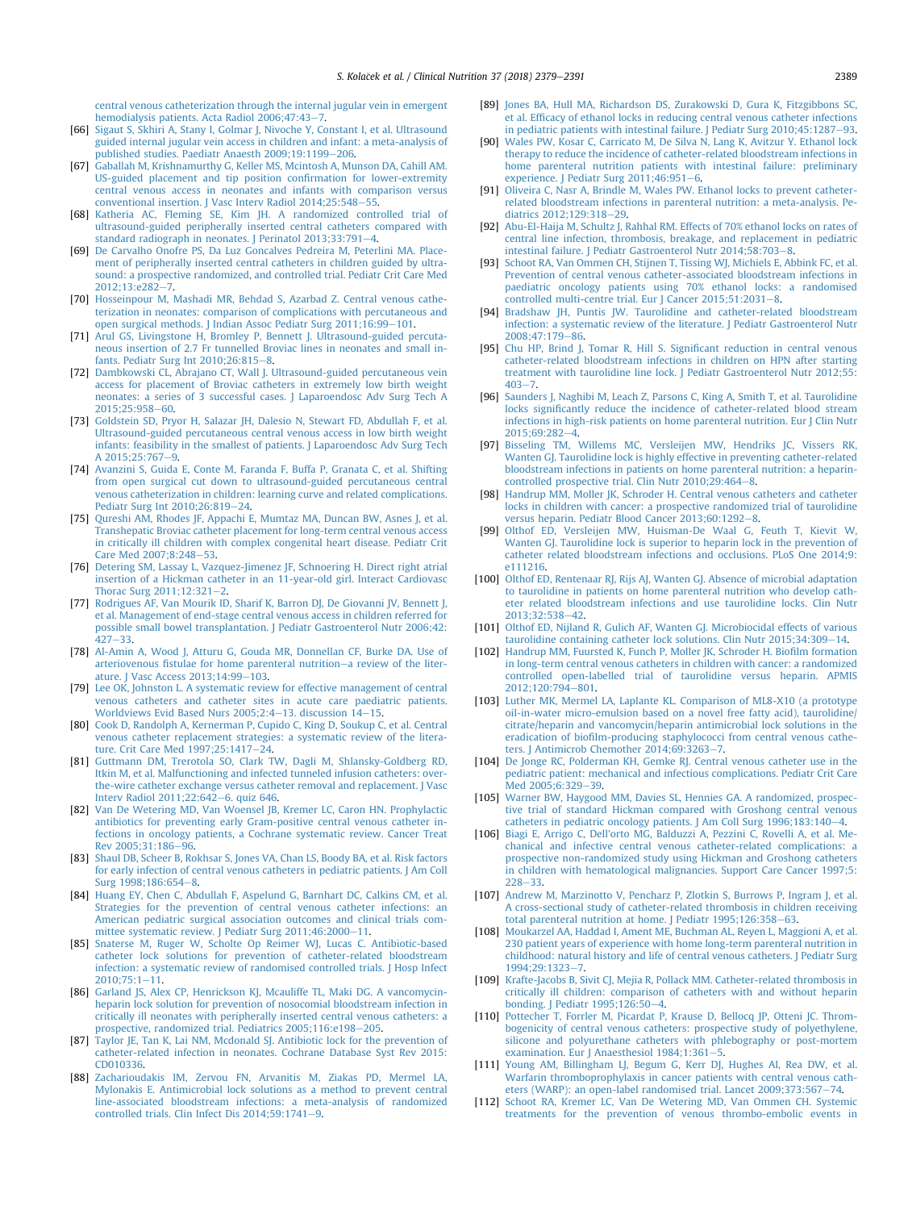<span id="page-10-0"></span>[central venous catheterization through the internal jugular vein in emergent](http://refhub.elsevier.com/S0261-5614(18)31171-3/sref65) hemodialysis patients. Acta Radiol  $2006;47;43-7$ .

- [66] [Sigaut S, Skhiri A, Stany I, Golmar J, Nivoche Y, Constant I, et al. Ultrasound](http://refhub.elsevier.com/S0261-5614(18)31171-3/sref66) [guided internal jugular vein access in children and infant: a meta-analysis of](http://refhub.elsevier.com/S0261-5614(18)31171-3/sref66) published studies. Paediatr Anaesth  $2009;19:1199-206$  $2009;19:1199-206$ .
- [67] [Gaballah M, Krishnamurthy G, Keller MS, Mcintosh A, Munson DA, Cahill AM.](http://refhub.elsevier.com/S0261-5614(18)31171-3/sref67) [US-guided placement and tip position con](http://refhub.elsevier.com/S0261-5614(18)31171-3/sref67)firmation for lower-extremity [central venous access in neonates and infants with comparison versus](http://refhub.elsevier.com/S0261-5614(18)31171-3/sref67) conventional insertion. J Vasc Interv Radiol  $2014:25:548-55$ .
- [68] [Katheria AC, Fleming SE, Kim JH. A randomized controlled trial of](http://refhub.elsevier.com/S0261-5614(18)31171-3/sref68) [ultrasound-guided peripherally inserted central catheters compared with](http://refhub.elsevier.com/S0261-5614(18)31171-3/sref68) [standard radiograph in neonates. J Perinatol 2013;33:791](http://refhub.elsevier.com/S0261-5614(18)31171-3/sref68)-[4](http://refhub.elsevier.com/S0261-5614(18)31171-3/sref68).
- [69] [De Carvalho Onofre PS, Da Luz Goncalves Pedreira M, Peterlini MA. Place](http://refhub.elsevier.com/S0261-5614(18)31171-3/sref69)[ment of peripherally inserted central catheters in children guided by ultra](http://refhub.elsevier.com/S0261-5614(18)31171-3/sref69)[sound: a prospective randomized, and controlled trial. Pediatr Crit Care Med](http://refhub.elsevier.com/S0261-5614(18)31171-3/sref69) 2012:13:e282-[7](http://refhub.elsevier.com/S0261-5614(18)31171-3/sref69).
- [70] [Hosseinpour M, Mashadi MR, Behdad S, Azarbad Z. Central venous cathe](http://refhub.elsevier.com/S0261-5614(18)31171-3/sref70)[terization in neonates: comparison of complications with percutaneous and](http://refhub.elsevier.com/S0261-5614(18)31171-3/sref70) [open surgical methods. J Indian Assoc Pediatr Surg 2011;16:99](http://refhub.elsevier.com/S0261-5614(18)31171-3/sref70)-[101](http://refhub.elsevier.com/S0261-5614(18)31171-3/sref70).
- [71] [Arul GS, Livingstone H, Bromley P, Bennett J. Ultrasound-guided percuta](http://refhub.elsevier.com/S0261-5614(18)31171-3/sref71)[neous insertion of 2.7 Fr tunnelled Broviac lines in neonates and small in](http://refhub.elsevier.com/S0261-5614(18)31171-3/sref71)[fants. Pediatr Surg Int 2010;26:815](http://refhub.elsevier.com/S0261-5614(18)31171-3/sref71)-[8.](http://refhub.elsevier.com/S0261-5614(18)31171-3/sref71)
- [72] [Dambkowski CL, Abrajano CT, Wall J. Ultrasound-guided percutaneous vein](http://refhub.elsevier.com/S0261-5614(18)31171-3/sref72) [access for placement of Broviac catheters in extremely low birth weight](http://refhub.elsevier.com/S0261-5614(18)31171-3/sref72) [neonates: a series of 3 successful cases. J Laparoendosc Adv Surg Tech A](http://refhub.elsevier.com/S0261-5614(18)31171-3/sref72)  $2015:25:958 - 60$
- [73] [Goldstein SD, Pryor H, Salazar JH, Dalesio N, Stewart FD, Abdullah F, et al.](http://refhub.elsevier.com/S0261-5614(18)31171-3/sref73) [Ultrasound-guided percutaneous central venous access in low birth weight](http://refhub.elsevier.com/S0261-5614(18)31171-3/sref73) [infants: feasibility in the smallest of patients. J Laparoendosc Adv Surg Tech](http://refhub.elsevier.com/S0261-5614(18)31171-3/sref73) A  $2015:25:767-9$  $2015:25:767-9$
- [74] [Avanzini S, Guida E, Conte M, Faranda F, Buffa P, Granata C, et al. Shifting](http://refhub.elsevier.com/S0261-5614(18)31171-3/sref74) [from open surgical cut down to ultrasound-guided percutaneous central](http://refhub.elsevier.com/S0261-5614(18)31171-3/sref74) [venous catheterization in children: learning curve and related complications.](http://refhub.elsevier.com/S0261-5614(18)31171-3/sref74) [Pediatr Surg Int 2010;26:819](http://refhub.elsevier.com/S0261-5614(18)31171-3/sref74)-[24.](http://refhub.elsevier.com/S0261-5614(18)31171-3/sref74)
- [75] [Qureshi AM, Rhodes JF, Appachi E, Mumtaz MA, Duncan BW, Asnes J, et al.](http://refhub.elsevier.com/S0261-5614(18)31171-3/sref75) [Transhepatic Broviac catheter placement for long-term central venous access](http://refhub.elsevier.com/S0261-5614(18)31171-3/sref75) [in critically ill children with complex congenital heart disease. Pediatr Crit](http://refhub.elsevier.com/S0261-5614(18)31171-3/sref75) Care Med 2007:8:248-[53](http://refhub.elsevier.com/S0261-5614(18)31171-3/sref75).
- [76] [Detering SM, Lassay L, Vazquez-Jimenez JF, Schnoering H. Direct right atrial](http://refhub.elsevier.com/S0261-5614(18)31171-3/sref76) [insertion of a Hickman catheter in an 11-year-old girl. Interact Cardiovasc](http://refhub.elsevier.com/S0261-5614(18)31171-3/sref76) [Thorac Surg 2011;12:321](http://refhub.elsevier.com/S0261-5614(18)31171-3/sref76)-[2](http://refhub.elsevier.com/S0261-5614(18)31171-3/sref76).
- [77] [Rodrigues AF, Van Mourik ID, Sharif K, Barron DJ, De Giovanni JV, Bennett J,](http://refhub.elsevier.com/S0261-5614(18)31171-3/sref77) [et al. Management of end-stage central venous access in children referred for](http://refhub.elsevier.com/S0261-5614(18)31171-3/sref77) [possible small bowel transplantation. J Pediatr Gastroenterol Nutr 2006;42:](http://refhub.elsevier.com/S0261-5614(18)31171-3/sref77)  $427 - 33$  $427 - 33$  $427 - 33$
- [78] [Al-Amin A, Wood J, Atturu G, Gouda MR, Donnellan CF, Burke DA. Use of](http://refhub.elsevier.com/S0261-5614(18)31171-3/sref78) arteriovenous fi[stulae for home parenteral nutrition](http://refhub.elsevier.com/S0261-5614(18)31171-3/sref78)-[a review of the liter](http://refhub.elsevier.com/S0261-5614(18)31171-3/sref78)[ature. J Vasc Access 2013;14:99](http://refhub.elsevier.com/S0261-5614(18)31171-3/sref78)-[103](http://refhub.elsevier.com/S0261-5614(18)31171-3/sref78).
- [79] [Lee OK, Johnston L. A systematic review for effective management of central](http://refhub.elsevier.com/S0261-5614(18)31171-3/sref79) [venous catheters and catheter sites in acute care paediatric patients.](http://refhub.elsevier.com/S0261-5614(18)31171-3/sref79) [Worldviews Evid Based Nurs 2005;2:4](http://refhub.elsevier.com/S0261-5614(18)31171-3/sref79)-[13. discussion 14](http://refhub.elsevier.com/S0261-5614(18)31171-3/sref79)-[15](http://refhub.elsevier.com/S0261-5614(18)31171-3/sref79).
- [80] [Cook D, Randolph A, Kernerman P, Cupido C, King D, Soukup C, et al. Central](http://refhub.elsevier.com/S0261-5614(18)31171-3/sref80) [venous catheter replacement strategies: a systematic review of the litera](http://refhub.elsevier.com/S0261-5614(18)31171-3/sref80)[ture. Crit Care Med 1997;25:1417](http://refhub.elsevier.com/S0261-5614(18)31171-3/sref80)-[24](http://refhub.elsevier.com/S0261-5614(18)31171-3/sref80).
- [81] [Guttmann DM, Trerotola SO, Clark TW, Dagli M, Shlansky-Goldberg RD,](http://refhub.elsevier.com/S0261-5614(18)31171-3/sref81) [Itkin M, et al. Malfunctioning and infected tunneled infusion catheters: over](http://refhub.elsevier.com/S0261-5614(18)31171-3/sref81)[the-wire catheter exchange versus catheter removal and replacement. J Vasc](http://refhub.elsevier.com/S0261-5614(18)31171-3/sref81) [Interv Radiol 2011;22:642](http://refhub.elsevier.com/S0261-5614(18)31171-3/sref81)-[6. quiz 646.](http://refhub.elsevier.com/S0261-5614(18)31171-3/sref81)
- [82] [Van De Wetering MD, Van Woensel JB, Kremer LC, Caron HN. Prophylactic](http://refhub.elsevier.com/S0261-5614(18)31171-3/sref82) [antibiotics for preventing early Gram-positive central venous catheter in](http://refhub.elsevier.com/S0261-5614(18)31171-3/sref82)[fections in oncology patients, a Cochrane systematic review. Cancer Treat](http://refhub.elsevier.com/S0261-5614(18)31171-3/sref82) Rev 2005:31:186-96
- [83] [Shaul DB, Scheer B, Rokhsar S, Jones VA, Chan LS, Boody BA, et al. Risk factors](http://refhub.elsevier.com/S0261-5614(18)31171-3/sref83) [for early infection of central venous catheters in pediatric patients. J Am Coll](http://refhub.elsevier.com/S0261-5614(18)31171-3/sref83) Surg 199[8](http://refhub.elsevier.com/S0261-5614(18)31171-3/sref83):186:654-8.
- [84] [Huang EY, Chen C, Abdullah F, Aspelund G, Barnhart DC, Calkins CM, et al.](http://refhub.elsevier.com/S0261-5614(18)31171-3/sref84) [Strategies for the prevention of central venous catheter infections: an](http://refhub.elsevier.com/S0261-5614(18)31171-3/sref84) [American pediatric surgical association outcomes and clinical trials com](http://refhub.elsevier.com/S0261-5614(18)31171-3/sref84)[mittee systematic review. J Pediatr Surg 2011;46:2000](http://refhub.elsevier.com/S0261-5614(18)31171-3/sref84)-[11](http://refhub.elsevier.com/S0261-5614(18)31171-3/sref84).
- [85] [Snaterse M, Ruger W, Scholte Op Reimer WJ, Lucas C. Antibiotic-based](http://refhub.elsevier.com/S0261-5614(18)31171-3/sref85) [catheter lock solutions for prevention of catheter-related bloodstream](http://refhub.elsevier.com/S0261-5614(18)31171-3/sref85) [infection: a systematic review of randomised controlled trials. J Hosp Infect](http://refhub.elsevier.com/S0261-5614(18)31171-3/sref85)  $2010:75:1-11.$  $2010:75:1-11.$  $2010:75:1-11.$
- [86] [Garland JS, Alex CP, Henrickson KJ, Mcauliffe TL, Maki DG. A vancomycin](http://refhub.elsevier.com/S0261-5614(18)31171-3/sref86)[heparin lock solution for prevention of nosocomial bloodstream infection in](http://refhub.elsevier.com/S0261-5614(18)31171-3/sref86) [critically ill neonates with peripherally inserted central venous catheters: a](http://refhub.elsevier.com/S0261-5614(18)31171-3/sref86) [prospective, randomized trial. Pediatrics 2005;116:e198](http://refhub.elsevier.com/S0261-5614(18)31171-3/sref86)-[205.](http://refhub.elsevier.com/S0261-5614(18)31171-3/sref86)
- [87] [Taylor JE, Tan K, Lai NM, Mcdonald SJ. Antibiotic lock for the prevention of](http://refhub.elsevier.com/S0261-5614(18)31171-3/sref87) [catheter-related infection in neonates. Cochrane Database Syst Rev 2015:](http://refhub.elsevier.com/S0261-5614(18)31171-3/sref87) [CD010336.](http://refhub.elsevier.com/S0261-5614(18)31171-3/sref87)
- [88] [Zacharioudakis IM, Zervou FN, Arvanitis M, Ziakas PD, Mermel LA,](http://refhub.elsevier.com/S0261-5614(18)31171-3/sref88) [Mylonakis E. Antimicrobial lock solutions as a method to prevent central](http://refhub.elsevier.com/S0261-5614(18)31171-3/sref88) [line-associated bloodstream infections: a meta-analysis of randomized](http://refhub.elsevier.com/S0261-5614(18)31171-3/sref88) controlled trials. Clin Infect Dis  $2014;59:1741-9$ .
- [89] [Jones BA, Hull MA, Richardson DS, Zurakowski D, Gura K, Fitzgibbons SC,](http://refhub.elsevier.com/S0261-5614(18)31171-3/sref89) et al. Effi[cacy of ethanol locks in reducing central venous catheter infections](http://refhub.elsevier.com/S0261-5614(18)31171-3/sref89) in pediatric patients with intestinal failure. J Pediatr Surg  $2010;45:1287-93$  $2010;45:1287-93$ .
- [90] [Wales PW, Kosar C, Carricato M, De Silva N, Lang K, Avitzur Y. Ethanol lock](http://refhub.elsevier.com/S0261-5614(18)31171-3/sref90) [therapy to reduce the incidence of catheter-related bloodstream infections in](http://refhub.elsevier.com/S0261-5614(18)31171-3/sref90) [home parenteral nutrition patients with intestinal failure: preliminary](http://refhub.elsevier.com/S0261-5614(18)31171-3/sref90) experience. J Pediatr Surg  $2011;46:951-6$  $2011;46:951-6$  $2011;46:951-6$ .
- [91] [Oliveira C, Nasr A, Brindle M, Wales PW. Ethanol locks to prevent catheter](http://refhub.elsevier.com/S0261-5614(18)31171-3/sref91)[related bloodstream infections in parenteral nutrition: a meta-analysis. Pe](http://refhub.elsevier.com/S0261-5614(18)31171-3/sref91)[diatrics 2012;129:318](http://refhub.elsevier.com/S0261-5614(18)31171-3/sref91)-[29.](http://refhub.elsevier.com/S0261-5614(18)31171-3/sref91)
- [92] [Abu-El-Haija M, Schultz J, Rahhal RM. Effects of 70% ethanol locks on rates of](http://refhub.elsevier.com/S0261-5614(18)31171-3/sref92) [central line infection, thrombosis, breakage, and replacement in pediatric](http://refhub.elsevier.com/S0261-5614(18)31171-3/sref92) intestinal failure. J Pediatr Gastroenterol Nutr 2014:5[8](http://refhub.elsevier.com/S0261-5614(18)31171-3/sref92):703-8.
- [93] [Schoot RA, Van Ommen CH, Stijnen T, Tissing WJ, Michiels E, Abbink FC, et al.](http://refhub.elsevier.com/S0261-5614(18)31171-3/sref93) [Prevention of central venous catheter-associated bloodstream infections in](http://refhub.elsevier.com/S0261-5614(18)31171-3/sref93) [paediatric oncology patients using 70% ethanol locks: a randomised](http://refhub.elsevier.com/S0261-5614(18)31171-3/sref93)  $\frac{1}{2}$  controlled multi-centre trial. Eur I Cancer 2015:51:2031-[8.](http://refhub.elsevier.com/S0261-5614(18)31171-3/sref93)
- [94] [Bradshaw JH, Puntis JW. Taurolidine and catheter-related bloodstream](http://refhub.elsevier.com/S0261-5614(18)31171-3/sref94) [infection: a systematic review of the literature. J Pediatr Gastroenterol Nutr](http://refhub.elsevier.com/S0261-5614(18)31171-3/sref94)  $2008:47:179-86$ .
- [95] [Chu HP, Brind J, Tomar R, Hill S. Signi](http://refhub.elsevier.com/S0261-5614(18)31171-3/sref95)ficant reduction in central venous [catheter-related bloodstream infections in children on HPN after starting](http://refhub.elsevier.com/S0261-5614(18)31171-3/sref95) [treatment with taurolidine line lock. J Pediatr Gastroenterol Nutr 2012;55:](http://refhub.elsevier.com/S0261-5614(18)31171-3/sref95)  $403 - 7$  $403 - 7$  $403 - 7$
- [96] [Saunders J, Naghibi M, Leach Z, Parsons C, King A, Smith T, et al. Taurolidine](http://refhub.elsevier.com/S0261-5614(18)31171-3/sref96) locks signifi[cantly reduce the incidence of catheter-related blood stream](http://refhub.elsevier.com/S0261-5614(18)31171-3/sref96) [infections in high-risk patients on home parenteral nutrition. Eur J Clin Nutr](http://refhub.elsevier.com/S0261-5614(18)31171-3/sref96)  $2015:69:282-4$
- [97] [Bisseling TM, Willems MC, Versleijen MW, Hendriks JC, Vissers RK,](http://refhub.elsevier.com/S0261-5614(18)31171-3/sref97) [Wanten GJ. Taurolidine lock is highly effective in preventing catheter-related](http://refhub.elsevier.com/S0261-5614(18)31171-3/sref97) [bloodstream infections in patients on home parenteral nutrition: a heparin](http://refhub.elsevier.com/S0261-5614(18)31171-3/sref97) $controlled$  prospective trial. Clin Nutr  $2010:29:464-8$  $2010:29:464-8$ .
- [98] [Handrup MM, Moller JK, Schroder H. Central venous catheters and catheter](http://refhub.elsevier.com/S0261-5614(18)31171-3/sref98) [locks in children with cancer: a prospective randomized trial of taurolidine](http://refhub.elsevier.com/S0261-5614(18)31171-3/sref98) [versus heparin. Pediatr Blood Cancer 2013;60:1292](http://refhub.elsevier.com/S0261-5614(18)31171-3/sref98)-[8](http://refhub.elsevier.com/S0261-5614(18)31171-3/sref98).
- [99] [Olthof ED, Versleijen MW, Huisman-De Waal G, Feuth T, Kievit W,](http://refhub.elsevier.com/S0261-5614(18)31171-3/sref99) [Wanten GJ. Taurolidine lock is superior to heparin lock in the prevention of](http://refhub.elsevier.com/S0261-5614(18)31171-3/sref99) [catheter related bloodstream infections and occlusions. PLoS One 2014;9:](http://refhub.elsevier.com/S0261-5614(18)31171-3/sref99) [e111216.](http://refhub.elsevier.com/S0261-5614(18)31171-3/sref99)
- [100] [Olthof ED, Rentenaar RJ, Rijs AJ, Wanten GJ. Absence of microbial adaptation](http://refhub.elsevier.com/S0261-5614(18)31171-3/sref100) [to taurolidine in patients on home parenteral nutrition who develop cath](http://refhub.elsevier.com/S0261-5614(18)31171-3/sref100)[eter related bloodstream infections and use taurolidine locks. Clin Nutr](http://refhub.elsevier.com/S0261-5614(18)31171-3/sref100) 2013:32:538-[42.](http://refhub.elsevier.com/S0261-5614(18)31171-3/sref100)
- [101] [Olthof ED, Nijland R, Gulich AF, Wanten GJ. Microbiocidal effects of various](http://refhub.elsevier.com/S0261-5614(18)31171-3/sref101) [taurolidine containing catheter lock solutions. Clin Nutr 2015;34:309](http://refhub.elsevier.com/S0261-5614(18)31171-3/sref101)-[14.](http://refhub.elsevier.com/S0261-5614(18)31171-3/sref101)
- [102] [Handrup MM, Fuursted K, Funch P, Moller JK, Schroder H. Bio](http://refhub.elsevier.com/S0261-5614(18)31171-3/sref102)film formation [in long-term central venous catheters in children with cancer: a randomized](http://refhub.elsevier.com/S0261-5614(18)31171-3/sref102) [controlled open-labelled trial of taurolidine versus heparin. APMIS](http://refhub.elsevier.com/S0261-5614(18)31171-3/sref102) [2012;120:794](http://refhub.elsevier.com/S0261-5614(18)31171-3/sref102)-[801](http://refhub.elsevier.com/S0261-5614(18)31171-3/sref102).
- [103] [Luther MK, Mermel LA, Laplante KL. Comparison of ML8-X10 \(a prototype](http://refhub.elsevier.com/S0261-5614(18)31171-3/sref103) [oil-in-water micro-emulsion based on a novel free fatty acid\), taurolidine/](http://refhub.elsevier.com/S0261-5614(18)31171-3/sref103) [citrate/heparin and vancomycin/heparin antimicrobial lock solutions in the](http://refhub.elsevier.com/S0261-5614(18)31171-3/sref103) eradication of biofi[lm-producing staphylococci from central venous cathe](http://refhub.elsevier.com/S0261-5614(18)31171-3/sref103)[ters. J Antimicrob Chemother 2014;69:3263](http://refhub.elsevier.com/S0261-5614(18)31171-3/sref103)-[7](http://refhub.elsevier.com/S0261-5614(18)31171-3/sref103).
- [104] [De Jonge RC, Polderman KH, Gemke RJ. Central venous catheter use in the](http://refhub.elsevier.com/S0261-5614(18)31171-3/sref104) [pediatric patient: mechanical and infectious complications. Pediatr Crit Care](http://refhub.elsevier.com/S0261-5614(18)31171-3/sref104) [Med 2005;6:329](http://refhub.elsevier.com/S0261-5614(18)31171-3/sref104)-[39.](http://refhub.elsevier.com/S0261-5614(18)31171-3/sref104)
- [105] [Warner BW, Haygood MM, Davies SL, Hennies GA. A randomized, prospec](http://refhub.elsevier.com/S0261-5614(18)31171-3/sref105)[tive trial of standard Hickman compared with Groshong central venous](http://refhub.elsevier.com/S0261-5614(18)31171-3/sref105) [catheters in pediatric oncology patients. J Am Coll Surg 1996;183:140](http://refhub.elsevier.com/S0261-5614(18)31171-3/sref105)-[4](http://refhub.elsevier.com/S0261-5614(18)31171-3/sref105).
- [106] [Biagi E, Arrigo C, Dell'orto MG, Balduzzi A, Pezzini C, Rovelli A, et al. Me](http://refhub.elsevier.com/S0261-5614(18)31171-3/sref106)[chanical and infective central venous catheter-related complications: a](http://refhub.elsevier.com/S0261-5614(18)31171-3/sref106) [prospective non-randomized study using Hickman and Groshong catheters](http://refhub.elsevier.com/S0261-5614(18)31171-3/sref106) [in children with hematological malignancies. Support Care Cancer 1997;5:](http://refhub.elsevier.com/S0261-5614(18)31171-3/sref106)  $228 - 33$  $228 - 33$ .
- [107] [Andrew M, Marzinotto V, Pencharz P, Zlotkin S, Burrows P, Ingram J, et al.](http://refhub.elsevier.com/S0261-5614(18)31171-3/sref107) [A cross-sectional study of catheter-related thrombosis in children receiving](http://refhub.elsevier.com/S0261-5614(18)31171-3/sref107) [total parenteral nutrition at home. J Pediatr 1995;126:358](http://refhub.elsevier.com/S0261-5614(18)31171-3/sref107)-[63.](http://refhub.elsevier.com/S0261-5614(18)31171-3/sref107)
- [108] [Moukarzel AA, Haddad I, Ament ME, Buchman AL, Reyen L, Maggioni A, et al.](http://refhub.elsevier.com/S0261-5614(18)31171-3/sref108) [230 patient years of experience with home long-term parenteral nutrition in](http://refhub.elsevier.com/S0261-5614(18)31171-3/sref108) [childhood: natural history and life of central venous catheters. J Pediatr Surg](http://refhub.elsevier.com/S0261-5614(18)31171-3/sref108) 1994:29:1323-[7.](http://refhub.elsevier.com/S0261-5614(18)31171-3/sref108)
- [109] [Krafte-Jacobs B, Sivit CJ, Mejia R, Pollack MM. Catheter-related thrombosis in](http://refhub.elsevier.com/S0261-5614(18)31171-3/sref109) [critically ill children: comparison of catheters with and without heparin](http://refhub.elsevier.com/S0261-5614(18)31171-3/sref109) bonding. J Pediatr  $1995;126:50-4$ .
- [110] [Pottecher T, Forrler M, Picardat P, Krause D, Bellocq JP, Otteni JC. Throm](http://refhub.elsevier.com/S0261-5614(18)31171-3/sref110)[bogenicity of central venous catheters: prospective study of polyethylene,](http://refhub.elsevier.com/S0261-5614(18)31171-3/sref110) [silicone and polyurethane catheters with phlebography or post-mortem](http://refhub.elsevier.com/S0261-5614(18)31171-3/sref110) [examination. Eur J Anaesthesiol 1984;1:361](http://refhub.elsevier.com/S0261-5614(18)31171-3/sref110)-[5](http://refhub.elsevier.com/S0261-5614(18)31171-3/sref110).
- [111] [Young AM, Billingham LJ, Begum G, Kerr DJ, Hughes AI, Rea DW, et al.](http://refhub.elsevier.com/S0261-5614(18)31171-3/sref111) [Warfarin thromboprophylaxis in cancer patients with central venous cath](http://refhub.elsevier.com/S0261-5614(18)31171-3/sref111)[eters \(WARP\): an open-label randomised trial. Lancet 2009;373:567](http://refhub.elsevier.com/S0261-5614(18)31171-3/sref111)-[74](http://refhub.elsevier.com/S0261-5614(18)31171-3/sref111).
- [112] [Schoot RA, Kremer LC, Van De Wetering MD, Van Ommen CH. Systemic](http://refhub.elsevier.com/S0261-5614(18)31171-3/sref112) [treatments for the prevention of venous thrombo-embolic events in](http://refhub.elsevier.com/S0261-5614(18)31171-3/sref112)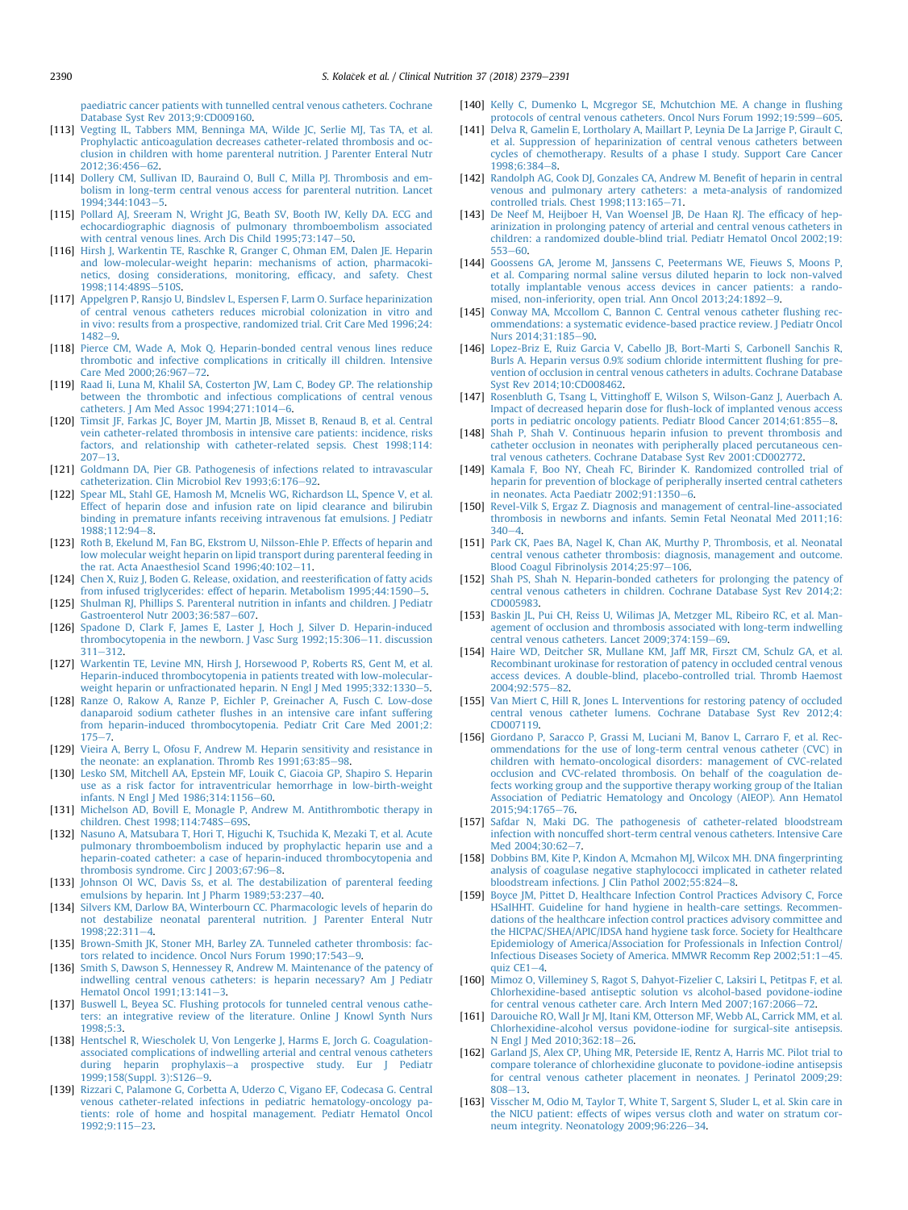<span id="page-11-0"></span>[paediatric cancer patients with tunnelled central venous catheters. Cochrane](http://refhub.elsevier.com/S0261-5614(18)31171-3/sref112) [Database Syst Rev 2013;9:CD009160](http://refhub.elsevier.com/S0261-5614(18)31171-3/sref112).

- [113] [Vegting IL, Tabbers MM, Benninga MA, Wilde JC, Serlie MJ, Tas TA, et al.](http://refhub.elsevier.com/S0261-5614(18)31171-3/sref113) [Prophylactic anticoagulation decreases catheter-related thrombosis and oc](http://refhub.elsevier.com/S0261-5614(18)31171-3/sref113)[clusion in children with home parenteral nutrition. J Parenter Enteral Nutr](http://refhub.elsevier.com/S0261-5614(18)31171-3/sref113)  $2012:36:456-62$  $2012:36:456-62$
- [114] [Dollery CM, Sullivan ID, Bauraind O, Bull C, Milla PJ. Thrombosis and em](http://refhub.elsevier.com/S0261-5614(18)31171-3/sref114)[bolism in long-term central venous access for parenteral nutrition. Lancet](http://refhub.elsevier.com/S0261-5614(18)31171-3/sref114) 1994:344:1043-[5.](http://refhub.elsevier.com/S0261-5614(18)31171-3/sref114)
- [115] [Pollard AJ, Sreeram N, Wright JG, Beath SV, Booth IW, Kelly DA. ECG and](http://refhub.elsevier.com/S0261-5614(18)31171-3/sref115) [echocardiographic diagnosis of pulmonary thromboembolism associated](http://refhub.elsevier.com/S0261-5614(18)31171-3/sref115)<br>[with central venous lines. Arch Dis Child 1995;73:147](http://refhub.elsevier.com/S0261-5614(18)31171-3/sref115)–[50](http://refhub.elsevier.com/S0261-5614(18)31171-3/sref115).
- [116] [Hirsh J, Warkentin TE, Raschke R, Granger C, Ohman EM, Dalen JE. Heparin](http://refhub.elsevier.com/S0261-5614(18)31171-3/sref116) [and low-molecular-weight heparin: mechanisms of action, pharmacoki](http://refhub.elsevier.com/S0261-5614(18)31171-3/sref116)[netics, dosing considerations, monitoring, ef](http://refhub.elsevier.com/S0261-5614(18)31171-3/sref116)ficacy, and safety. Chest 1998:114:489S-[510S.](http://refhub.elsevier.com/S0261-5614(18)31171-3/sref116)
- [117] [Appelgren P, Ransjo U, Bindslev L, Espersen F, Larm O. Surface heparinization](http://refhub.elsevier.com/S0261-5614(18)31171-3/sref117) [of central venous catheters reduces microbial colonization in vitro and](http://refhub.elsevier.com/S0261-5614(18)31171-3/sref117) [in vivo: results from a prospective, randomized trial. Crit Care Med 1996;24:](http://refhub.elsevier.com/S0261-5614(18)31171-3/sref117)  $1482 - 9$  $1482 - 9$
- [118] [Pierce CM, Wade A, Mok Q. Heparin-bonded central venous lines reduce](http://refhub.elsevier.com/S0261-5614(18)31171-3/sref118) [thrombotic and infective complications in critically ill children. Intensive](http://refhub.elsevier.com/S0261-5614(18)31171-3/sref118) Care Med 2000:26:967-[72.](http://refhub.elsevier.com/S0261-5614(18)31171-3/sref118)
- [119] [Raad Ii, Luna M, Khalil SA, Costerton JW, Lam C, Bodey GP. The relationship](http://refhub.elsevier.com/S0261-5614(18)31171-3/sref119) [between the thrombotic and infectious complications of central venous](http://refhub.elsevier.com/S0261-5614(18)31171-3/sref119)  $c$ atheters. J Am Med Assoc  $1994:271:1014-6$  $1994:271:1014-6$ .
- [120] [Timsit JF, Farkas JC, Boyer JM, Martin JB, Misset B, Renaud B, et al. Central](http://refhub.elsevier.com/S0261-5614(18)31171-3/sref120) [vein catheter-related thrombosis in intensive care patients: incidence, risks](http://refhub.elsevier.com/S0261-5614(18)31171-3/sref120) [factors, and relationship with catheter-related sepsis. Chest 1998;114:](http://refhub.elsevier.com/S0261-5614(18)31171-3/sref120)  $207 - 13$  $207 - 13$
- [121] [Goldmann DA, Pier GB. Pathogenesis of infections related to intravascular](http://refhub.elsevier.com/S0261-5614(18)31171-3/sref121) [catheterization. Clin Microbiol Rev 1993;6:176](http://refhub.elsevier.com/S0261-5614(18)31171-3/sref121)-[92](http://refhub.elsevier.com/S0261-5614(18)31171-3/sref121).
- [122] [Spear ML, Stahl GE, Hamosh M, Mcnelis WG, Richardson LL, Spence V, et al.](http://refhub.elsevier.com/S0261-5614(18)31171-3/sref122) [Effect of heparin dose and infusion rate on lipid clearance and bilirubin](http://refhub.elsevier.com/S0261-5614(18)31171-3/sref122) [binding in premature infants receiving intravenous fat emulsions. J Pediatr](http://refhub.elsevier.com/S0261-5614(18)31171-3/sref122) 19[8](http://refhub.elsevier.com/S0261-5614(18)31171-3/sref122)8:112:94-8.
- [123] [Roth B, Ekelund M, Fan BG, Ekstrom U, Nilsson-Ehle P. Effects of heparin and](http://refhub.elsevier.com/S0261-5614(18)31171-3/sref123) [low molecular weight heparin on lipid transport during parenteral feeding in](http://refhub.elsevier.com/S0261-5614(18)31171-3/sref123) the rat. Acta Anaesthesiol Scand  $1996;40:102-11$ .
- [124] [Chen X, Ruiz J, Boden G. Release, oxidation, and reesteri](http://refhub.elsevier.com/S0261-5614(18)31171-3/sref124)fication of fatty acids [from infused triglycerides: effect of heparin. Metabolism 1995;44:1590](http://refhub.elsevier.com/S0261-5614(18)31171-3/sref124)-[5.](http://refhub.elsevier.com/S0261-5614(18)31171-3/sref124)
- [125] [Shulman RJ, Phillips S. Parenteral nutrition in infants and children. J Pediatr](http://refhub.elsevier.com/S0261-5614(18)31171-3/sref125) [Gastroenterol Nutr 2003;36:587](http://refhub.elsevier.com/S0261-5614(18)31171-3/sref125)-[607.](http://refhub.elsevier.com/S0261-5614(18)31171-3/sref125)
- [126] [Spadone D, Clark F, James E, Laster J, Hoch J, Silver D. Heparin-induced](http://refhub.elsevier.com/S0261-5614(18)31171-3/sref126) [thrombocytopenia in the newborn. J Vasc Surg 1992;15:306](http://refhub.elsevier.com/S0261-5614(18)31171-3/sref126)-[11. discussion](http://refhub.elsevier.com/S0261-5614(18)31171-3/sref126)  $311 - 312$  $311 - 312$
- [127] [Warkentin TE, Levine MN, Hirsh J, Horsewood P, Roberts RS, Gent M, et al.](http://refhub.elsevier.com/S0261-5614(18)31171-3/sref127) [Heparin-induced thrombocytopenia in patients treated with low-molecular](http://refhub.elsevier.com/S0261-5614(18)31171-3/sref127)[weight heparin or unfractionated heparin. N Engl J Med 1995;332:1330](http://refhub.elsevier.com/S0261-5614(18)31171-3/sref127)-[5.](http://refhub.elsevier.com/S0261-5614(18)31171-3/sref127)
- [128] [Ranze O, Rakow A, Ranze P, Eichler P, Greinacher A, Fusch C. Low-dose](http://refhub.elsevier.com/S0261-5614(18)31171-3/sref128) danaparoid sodium catheter fl[ushes in an intensive care infant suffering](http://refhub.elsevier.com/S0261-5614(18)31171-3/sref128) [from heparin-induced thrombocytopenia. Pediatr Crit Care Med 2001;2:](http://refhub.elsevier.com/S0261-5614(18)31171-3/sref128)  $175 - 7$  $175 - 7$  $175 - 7$
- [129] [Vieira A, Berry L, Ofosu F, Andrew M. Heparin sensitivity and resistance in](http://refhub.elsevier.com/S0261-5614(18)31171-3/sref129) [the neonate: an explanation. Thromb Res 1991;63:85](http://refhub.elsevier.com/S0261-5614(18)31171-3/sref129)-[98](http://refhub.elsevier.com/S0261-5614(18)31171-3/sref129).
- [130] [Lesko SM, Mitchell AA, Epstein MF, Louik C, Giacoia GP, Shapiro S. Heparin](http://refhub.elsevier.com/S0261-5614(18)31171-3/sref130) [use as a risk factor for intraventricular hemorrhage in low-birth-weight](http://refhub.elsevier.com/S0261-5614(18)31171-3/sref130) [infants. N Engl J Med 1986;314:1156](http://refhub.elsevier.com/S0261-5614(18)31171-3/sref130)-[60.](http://refhub.elsevier.com/S0261-5614(18)31171-3/sref130)
- [131] [Michelson AD, Bovill E, Monagle P, Andrew M. Antithrombotic therapy in](http://refhub.elsevier.com/S0261-5614(18)31171-3/sref131) [children. Chest 1998;114:748S](http://refhub.elsevier.com/S0261-5614(18)31171-3/sref131)-[69S.](http://refhub.elsevier.com/S0261-5614(18)31171-3/sref131)
- [132] [Nasuno A, Matsubara T, Hori T, Higuchi K, Tsuchida K, Mezaki T, et al. Acute](http://refhub.elsevier.com/S0261-5614(18)31171-3/sref132) [pulmonary thromboembolism induced by prophylactic heparin use and a](http://refhub.elsevier.com/S0261-5614(18)31171-3/sref132) [heparin-coated catheter: a case of heparin-induced thrombocytopenia and](http://refhub.elsevier.com/S0261-5614(18)31171-3/sref132) [thrombosis syndrome. Circ J 2003;67:96](http://refhub.elsevier.com/S0261-5614(18)31171-3/sref132)-[8](http://refhub.elsevier.com/S0261-5614(18)31171-3/sref132).
- [133] [Johnson Ol WC, Davis Ss, et al. The destabilization of parenteral feeding](http://refhub.elsevier.com/S0261-5614(18)31171-3/sref133) emulsions by heparin. Int J Pharm  $1989;53:237-40$ .
- [134] [Silvers KM, Darlow BA, Winterbourn CC. Pharmacologic levels of heparin do](http://refhub.elsevier.com/S0261-5614(18)31171-3/sref134) [not destabilize neonatal parenteral nutrition. J Parenter Enteral Nutr](http://refhub.elsevier.com/S0261-5614(18)31171-3/sref134) 1998:22:311-[4](http://refhub.elsevier.com/S0261-5614(18)31171-3/sref134)
- [135] [Brown-Smith JK, Stoner MH, Barley ZA. Tunneled catheter thrombosis: fac](http://refhub.elsevier.com/S0261-5614(18)31171-3/sref135)[tors related to incidence. Oncol Nurs Forum 1990;17:543](http://refhub.elsevier.com/S0261-5614(18)31171-3/sref135)-[9.](http://refhub.elsevier.com/S0261-5614(18)31171-3/sref135)
- [136] [Smith S, Dawson S, Hennessey R, Andrew M. Maintenance of the patency of](http://refhub.elsevier.com/S0261-5614(18)31171-3/sref136) [indwelling central venous catheters: is heparin necessary? Am J Pediatr](http://refhub.elsevier.com/S0261-5614(18)31171-3/sref136) [Hematol Oncol 1991;13:141](http://refhub.elsevier.com/S0261-5614(18)31171-3/sref136)-[3](http://refhub.elsevier.com/S0261-5614(18)31171-3/sref136).
- [137] [Buswell L, Beyea SC. Flushing protocols for tunneled central venous cathe](http://refhub.elsevier.com/S0261-5614(18)31171-3/sref137)[ters: an integrative review of the literature. Online J Knowl Synth Nurs](http://refhub.elsevier.com/S0261-5614(18)31171-3/sref137) [1998;5:3](http://refhub.elsevier.com/S0261-5614(18)31171-3/sref137).
- [138] [Hentschel R, Wiescholek U, Von Lengerke J, Harms E, Jorch G. Coagulation](http://refhub.elsevier.com/S0261-5614(18)31171-3/sref138)[associated complications of indwelling arterial and central venous catheters](http://refhub.elsevier.com/S0261-5614(18)31171-3/sref138) [during heparin prophylaxis](http://refhub.elsevier.com/S0261-5614(18)31171-3/sref138)-[a prospective study. Eur J Pediatr](http://refhub.elsevier.com/S0261-5614(18)31171-3/sref138) [1999;158\(Suppl. 3\):S126](http://refhub.elsevier.com/S0261-5614(18)31171-3/sref138)-[9](http://refhub.elsevier.com/S0261-5614(18)31171-3/sref138).
- [139] [Rizzari C, Palamone G, Corbetta A, Uderzo C, Vigano EF, Codecasa G. Central](http://refhub.elsevier.com/S0261-5614(18)31171-3/sref139) [venous catheter-related infections in pediatric hematology-oncology pa](http://refhub.elsevier.com/S0261-5614(18)31171-3/sref139)[tients: role of home and hospital management. Pediatr Hematol Oncol](http://refhub.elsevier.com/S0261-5614(18)31171-3/sref139) [1992;9:115](http://refhub.elsevier.com/S0261-5614(18)31171-3/sref139)-[23](http://refhub.elsevier.com/S0261-5614(18)31171-3/sref139).
- [140] [Kelly C, Dumenko L, Mcgregor SE, Mchutchion ME. A change in](http://refhub.elsevier.com/S0261-5614(18)31171-3/sref140) flushing [protocols of central venous catheters. Oncol Nurs Forum 1992;19:599](http://refhub.elsevier.com/S0261-5614(18)31171-3/sref140)-[605](http://refhub.elsevier.com/S0261-5614(18)31171-3/sref140).
- [141] [Delva R, Gamelin E, Lortholary A, Maillart P, Leynia De La Jarrige P, Girault C,](http://refhub.elsevier.com/S0261-5614(18)31171-3/sref141) [et al. Suppression of heparinization of central venous catheters between](http://refhub.elsevier.com/S0261-5614(18)31171-3/sref141) [cycles of chemotherapy. Results of a phase I study. Support Care Cancer](http://refhub.elsevier.com/S0261-5614(18)31171-3/sref141)  $1998.6.384 - 8$  $1998.6.384 - 8$  $1998.6.384 - 8$
- [142] [Randolph AG, Cook DJ, Gonzales CA, Andrew M. Bene](http://refhub.elsevier.com/S0261-5614(18)31171-3/sref142)fit of heparin in central [venous and pulmonary artery catheters: a meta-analysis of randomized](http://refhub.elsevier.com/S0261-5614(18)31171-3/sref142) controlled trials. Chest  $1998:113:165-71$ .
- [143] [De Neef M, Heijboer H, Van Woensel JB, De Haan RJ. The ef](http://refhub.elsevier.com/S0261-5614(18)31171-3/sref143)ficacy of hep[arinization in prolonging patency of arterial and central venous catheters in](http://refhub.elsevier.com/S0261-5614(18)31171-3/sref143) [children: a randomized double-blind trial. Pediatr Hematol Oncol 2002;19:](http://refhub.elsevier.com/S0261-5614(18)31171-3/sref143)  $553 - 60.$  $553 - 60.$  $553 - 60.$
- [144] [Goossens GA, Jerome M, Janssens C, Peetermans WE, Fieuws S, Moons P,](http://refhub.elsevier.com/S0261-5614(18)31171-3/sref144) [et al. Comparing normal saline versus diluted heparin to lock non-valved](http://refhub.elsevier.com/S0261-5614(18)31171-3/sref144) [totally implantable venous access devices in cancer patients: a rando](http://refhub.elsevier.com/S0261-5614(18)31171-3/sref144)mised, non-inferiority, open trial. Ann Oncol  $2013:24:1892-9$ .
- [145] [Conway MA, Mccollom C, Bannon C. Central venous catheter](http://refhub.elsevier.com/S0261-5614(18)31171-3/sref145) flushing rec[ommendations: a systematic evidence-based practice review. J Pediatr Oncol](http://refhub.elsevier.com/S0261-5614(18)31171-3/sref145) Nurs 2014:31:185-[90.](http://refhub.elsevier.com/S0261-5614(18)31171-3/sref145)
- [146] [Lopez-Briz E, Ruiz Garcia V, Cabello JB, Bort-Marti S, Carbonell Sanchis R,](http://refhub.elsevier.com/S0261-5614(18)31171-3/sref146) [Burls A. Heparin versus 0.9% sodium chloride intermittent](http://refhub.elsevier.com/S0261-5614(18)31171-3/sref146) flushing for pre[vention of occlusion in central venous catheters in adults. Cochrane Database](http://refhub.elsevier.com/S0261-5614(18)31171-3/sref146) [Syst Rev 2014;10:CD008462.](http://refhub.elsevier.com/S0261-5614(18)31171-3/sref146)
- [147] [Rosenbluth G, Tsang L, Vittinghoff E, Wilson S, Wilson-Ganz J, Auerbach A.](http://refhub.elsevier.com/S0261-5614(18)31171-3/sref147) [Impact of decreased heparin dose for](http://refhub.elsevier.com/S0261-5614(18)31171-3/sref147) flush-lock of implanted venous access [ports in pediatric oncology patients. Pediatr Blood Cancer 2014;61:855](http://refhub.elsevier.com/S0261-5614(18)31171-3/sref147)-[8](http://refhub.elsevier.com/S0261-5614(18)31171-3/sref147).
- [148] [Shah P, Shah V. Continuous heparin infusion to prevent thrombosis and](http://refhub.elsevier.com/S0261-5614(18)31171-3/sref148) [catheter occlusion in neonates with peripherally placed percutaneous cen](http://refhub.elsevier.com/S0261-5614(18)31171-3/sref148)[tral venous catheters. Cochrane Database Syst Rev 2001:CD002772.](http://refhub.elsevier.com/S0261-5614(18)31171-3/sref148)
- [149] [Kamala F, Boo NY, Cheah FC, Birinder K. Randomized controlled trial of](http://refhub.elsevier.com/S0261-5614(18)31171-3/sref149) [heparin for prevention of blockage of peripherally inserted central catheters](http://refhub.elsevier.com/S0261-5614(18)31171-3/sref149) in neonates. Acta Paediatr  $2002;91:1350-6$ .
- [150] [Revel-Vilk S, Ergaz Z. Diagnosis and management of central-line-associated](http://refhub.elsevier.com/S0261-5614(18)31171-3/sref150) [thrombosis in newborns and infants. Semin Fetal Neonatal Med 2011;16:](http://refhub.elsevier.com/S0261-5614(18)31171-3/sref150)  $340 - 4$  $340 - 4$  $340 - 4$
- [151] [Park CK, Paes BA, Nagel K, Chan AK, Murthy P, Thrombosis, et al. Neonatal](http://refhub.elsevier.com/S0261-5614(18)31171-3/sref151) [central venous catheter thrombosis: diagnosis, management and outcome.](http://refhub.elsevier.com/S0261-5614(18)31171-3/sref151) [Blood Coagul Fibrinolysis 2014;25:97](http://refhub.elsevier.com/S0261-5614(18)31171-3/sref151)-[106](http://refhub.elsevier.com/S0261-5614(18)31171-3/sref151).
- [152] [Shah PS, Shah N. Heparin-bonded catheters for prolonging the patency of](http://refhub.elsevier.com/S0261-5614(18)31171-3/sref152) [central venous catheters in children. Cochrane Database Syst Rev 2014;2:](http://refhub.elsevier.com/S0261-5614(18)31171-3/sref152) [CD005983](http://refhub.elsevier.com/S0261-5614(18)31171-3/sref152).
- [153] [Baskin JL, Pui CH, Reiss U, Wilimas JA, Metzger ML, Ribeiro RC, et al. Man](http://refhub.elsevier.com/S0261-5614(18)31171-3/sref153)[agement of occlusion and thrombosis associated with long-term indwelling](http://refhub.elsevier.com/S0261-5614(18)31171-3/sref153) [central venous catheters. Lancet 2009;374:159](http://refhub.elsevier.com/S0261-5614(18)31171-3/sref153)-[69](http://refhub.elsevier.com/S0261-5614(18)31171-3/sref153).
- [154] [Haire WD, Deitcher SR, Mullane KM, Jaff MR, Firszt CM, Schulz GA, et al.](http://refhub.elsevier.com/S0261-5614(18)31171-3/sref154) [Recombinant urokinase for restoration of patency in occluded central venous](http://refhub.elsevier.com/S0261-5614(18)31171-3/sref154) [access devices. A double-blind, placebo-controlled trial. Thromb Haemost](http://refhub.elsevier.com/S0261-5614(18)31171-3/sref154) [2004;92:575](http://refhub.elsevier.com/S0261-5614(18)31171-3/sref154)-[82](http://refhub.elsevier.com/S0261-5614(18)31171-3/sref154).
- [155] [Van Miert C, Hill R, Jones L. Interventions for restoring patency of occluded](http://refhub.elsevier.com/S0261-5614(18)31171-3/sref155) [central venous catheter lumens. Cochrane Database Syst Rev 2012;4:](http://refhub.elsevier.com/S0261-5614(18)31171-3/sref155) [CD007119](http://refhub.elsevier.com/S0261-5614(18)31171-3/sref155).
- [156] [Giordano P, Saracco P, Grassi M, Luciani M, Banov L, Carraro F, et al. Rec](http://refhub.elsevier.com/S0261-5614(18)31171-3/sref156)[ommendations for the use of long-term central venous catheter \(CVC\) in](http://refhub.elsevier.com/S0261-5614(18)31171-3/sref156) [children with hemato-oncological disorders: management of CVC-related](http://refhub.elsevier.com/S0261-5614(18)31171-3/sref156) [occlusion and CVC-related thrombosis. On behalf of the coagulation de](http://refhub.elsevier.com/S0261-5614(18)31171-3/sref156)[fects working group and the supportive therapy working group of the Italian](http://refhub.elsevier.com/S0261-5614(18)31171-3/sref156) [Association of Pediatric Hematology and Oncology \(AIEOP\). Ann Hematol](http://refhub.elsevier.com/S0261-5614(18)31171-3/sref156) [2015;94:1765](http://refhub.elsevier.com/S0261-5614(18)31171-3/sref156)-[76.](http://refhub.elsevier.com/S0261-5614(18)31171-3/sref156)
- [157] [Safdar N, Maki DG. The pathogenesis of catheter-related bloodstream](http://refhub.elsevier.com/S0261-5614(18)31171-3/sref157) [infection with noncuffed short-term central venous catheters. Intensive Care](http://refhub.elsevier.com/S0261-5614(18)31171-3/sref157) Med 2004:30:62-[7](http://refhub.elsevier.com/S0261-5614(18)31171-3/sref157).
- [158] [Dobbins BM, Kite P, Kindon A, Mcmahon MJ, Wilcox MH. DNA](http://refhub.elsevier.com/S0261-5614(18)31171-3/sref158) fingerprinting [analysis of coagulase negative staphylococci implicated in catheter related](http://refhub.elsevier.com/S0261-5614(18)31171-3/sref158) bloodstream infections. J Clin Pathol  $2002;55:824-8$ .
- [159] [Boyce JM, Pittet D, Healthcare Infection Control Practices Advisory C, Force](http://refhub.elsevier.com/S0261-5614(18)31171-3/sref159) [HSaIHHT. Guideline for hand hygiene in health-care settings. Recommen](http://refhub.elsevier.com/S0261-5614(18)31171-3/sref159)[dations of the healthcare infection control practices advisory committee and](http://refhub.elsevier.com/S0261-5614(18)31171-3/sref159) [the HICPAC/SHEA/APIC/IDSA hand hygiene task force. Society for Healthcare](http://refhub.elsevier.com/S0261-5614(18)31171-3/sref159) [Epidemiology of America/Association for Professionals in Infection Control/](http://refhub.elsevier.com/S0261-5614(18)31171-3/sref159) [Infectious Diseases Society of America. MMWR Recomm Rep 2002;51:1](http://refhub.elsevier.com/S0261-5614(18)31171-3/sref159)-[45.](http://refhub.elsevier.com/S0261-5614(18)31171-3/sref159) quiz  $CE1-4$  $CE1-4$ .
- [160] [Mimoz O, Villeminey S, Ragot S, Dahyot-Fizelier C, Laksiri L, Petitpas F, et al.](http://refhub.elsevier.com/S0261-5614(18)31171-3/sref160) [Chlorhexidine-based antiseptic solution vs alcohol-based povidone-iodine](http://refhub.elsevier.com/S0261-5614(18)31171-3/sref160) for central venous catheter care. Arch Intern Med  $2007;167;2066-72$ .
- [161] [Darouiche RO, Wall Jr MJ, Itani KM, Otterson MF, Webb AL, Carrick MM, et al.](http://refhub.elsevier.com/S0261-5614(18)31171-3/sref161) [Chlorhexidine-alcohol versus povidone-iodine for surgical-site antisepsis.](http://refhub.elsevier.com/S0261-5614(18)31171-3/sref161) [N Engl J Med 2010;362:18](http://refhub.elsevier.com/S0261-5614(18)31171-3/sref161)-[26.](http://refhub.elsevier.com/S0261-5614(18)31171-3/sref161)
- [162] [Garland JS, Alex CP, Uhing MR, Peterside IE, Rentz A, Harris MC. Pilot trial to](http://refhub.elsevier.com/S0261-5614(18)31171-3/sref162) [compare tolerance of chlorhexidine gluconate to povidone-iodine antisepsis](http://refhub.elsevier.com/S0261-5614(18)31171-3/sref162) [for central venous catheter placement in neonates. J Perinatol 2009;29:](http://refhub.elsevier.com/S0261-5614(18)31171-3/sref162)  $808 - 13.$  $808 - 13.$  $808 - 13.$
- [163] [Visscher M, Odio M, Taylor T, White T, Sargent S, Sluder L, et al. Skin care in](http://refhub.elsevier.com/S0261-5614(18)31171-3/sref163) [the NICU patient: effects of wipes versus cloth and water on stratum cor](http://refhub.elsevier.com/S0261-5614(18)31171-3/sref163)[neum integrity. Neonatology 2009;96:226](http://refhub.elsevier.com/S0261-5614(18)31171-3/sref163)-[34](http://refhub.elsevier.com/S0261-5614(18)31171-3/sref163).